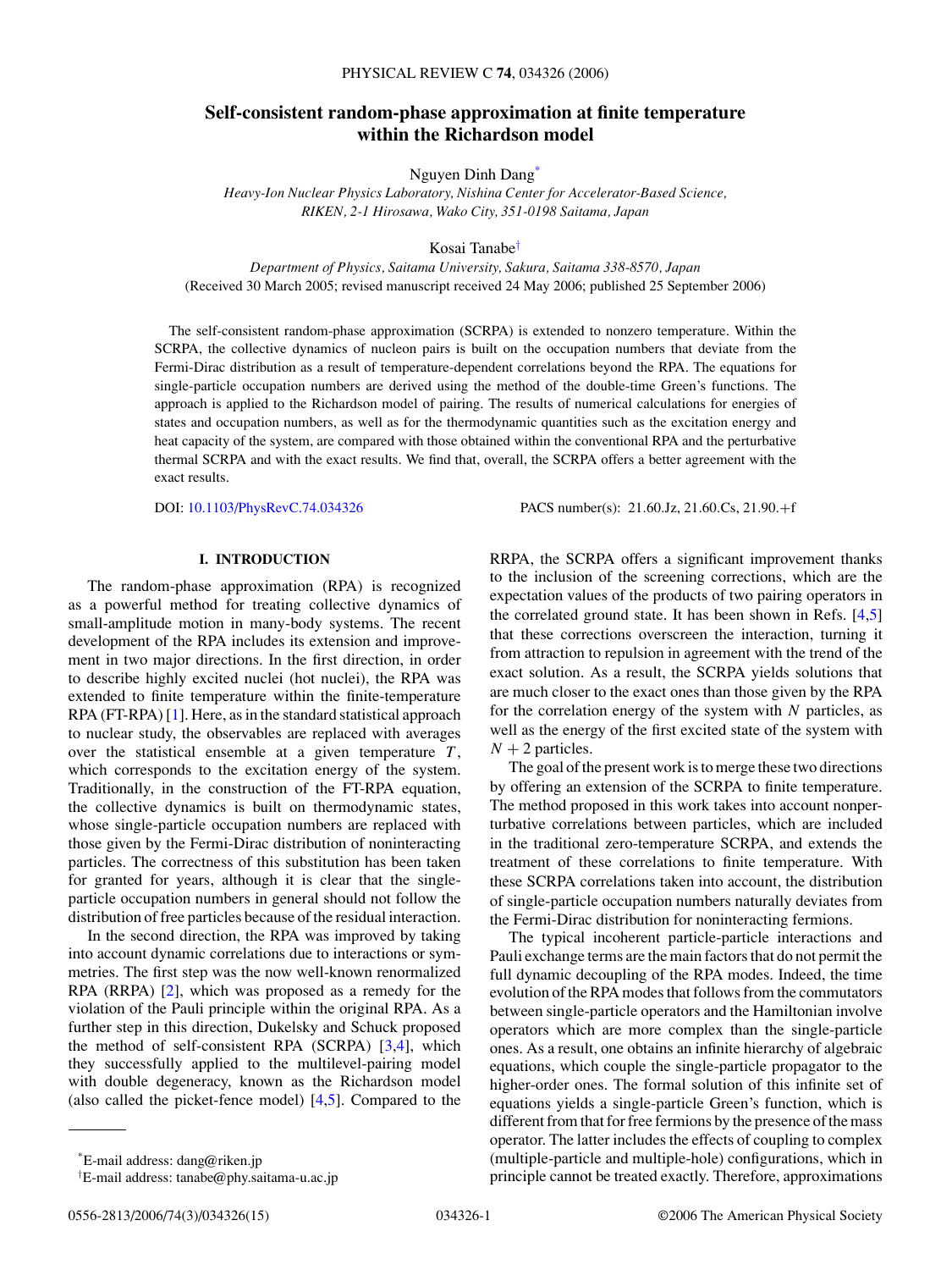# **Self-consistent random-phase approximation at finite temperature within the Richardson model**

Nguyen Dinh Dang\*

*Heavy-Ion Nuclear Physics Laboratory, Nishina Center for Accelerator-Based Science, RIKEN, 2-1 Hirosawa, Wako City, 351-0198 Saitama, Japan*

Kosai Tanabe†

*Department of Physics, Saitama University, Sakura, Saitama 338-8570, Japan* (Received 30 March 2005; revised manuscript received 24 May 2006; published 25 September 2006)

The self-consistent random-phase approximation (SCRPA) is extended to nonzero temperature. Within the SCRPA, the collective dynamics of nucleon pairs is built on the occupation numbers that deviate from the Fermi-Dirac distribution as a result of temperature-dependent correlations beyond the RPA. The equations for single-particle occupation numbers are derived using the method of the double-time Green's functions. The approach is applied to the Richardson model of pairing. The results of numerical calculations for energies of states and occupation numbers, as well as for the thermodynamic quantities such as the excitation energy and heat capacity of the system, are compared with those obtained within the conventional RPA and the perturbative thermal SCRPA and with the exact results. We find that, overall, the SCRPA offers a better agreement with the exact results.

DOI: [10.1103/PhysRevC.74.034326](http://dx.doi.org/10.1103/PhysRevC.74.034326) PACS number(s): 21*.*60*.*Jz, 21*.*60*.*Cs, 21*.*90*.*+f

### **I. INTRODUCTION**

The random-phase approximation (RPA) is recognized as a powerful method for treating collective dynamics of small-amplitude motion in many-body systems. The recent development of the RPA includes its extension and improvement in two major directions. In the first direction, in order to describe highly excited nuclei (hot nuclei), the RPA was extended to finite temperature within the finite-temperature RPA (FT-RPA) [\[1\]](#page-14-0). Here, as in the standard statistical approach to nuclear study, the observables are replaced with averages over the statistical ensemble at a given temperature  $T$ , which corresponds to the excitation energy of the system. Traditionally, in the construction of the FT-RPA equation, the collective dynamics is built on thermodynamic states, whose single-particle occupation numbers are replaced with those given by the Fermi-Dirac distribution of noninteracting particles. The correctness of this substitution has been taken for granted for years, although it is clear that the singleparticle occupation numbers in general should not follow the distribution of free particles because of the residual interaction.

In the second direction, the RPA was improved by taking into account dynamic correlations due to interactions or symmetries. The first step was the now well-known renormalized RPA (RRPA) [\[2\]](#page-14-0), which was proposed as a remedy for the violation of the Pauli principle within the original RPA. As a further step in this direction, Dukelsky and Schuck proposed the method of self-consistent RPA (SCRPA) [\[3,4\]](#page-14-0), which they successfully applied to the multilevel-pairing model with double degeneracy, known as the Richardson model (also called the picket-fence model)  $[4,5]$ . Compared to the

RRPA, the SCRPA offers a significant improvement thanks to the inclusion of the screening corrections, which are the expectation values of the products of two pairing operators in the correlated ground state. It has been shown in Refs. [\[4,5\]](#page-14-0) that these corrections overscreen the interaction, turning it from attraction to repulsion in agreement with the trend of the exact solution. As a result, the SCRPA yields solutions that are much closer to the exact ones than those given by the RPA for the correlation energy of the system with *N* particles, as well as the energy of the first excited state of the system with  $N + 2$  particles.

The goal of the present work is to merge these two directions by offering an extension of the SCRPA to finite temperature. The method proposed in this work takes into account nonperturbative correlations between particles, which are included in the traditional zero-temperature SCRPA, and extends the treatment of these correlations to finite temperature. With these SCRPA correlations taken into account, the distribution of single-particle occupation numbers naturally deviates from the Fermi-Dirac distribution for noninteracting fermions.

The typical incoherent particle-particle interactions and Pauli exchange terms are the main factors that do not permit the full dynamic decoupling of the RPA modes. Indeed, the time evolution of the RPA modes that follows from the commutators between single-particle operators and the Hamiltonian involve operators which are more complex than the single-particle ones. As a result, one obtains an infinite hierarchy of algebraic equations, which couple the single-particle propagator to the higher-order ones. The formal solution of this infinite set of equations yields a single-particle Green's function, which is different from that for free fermions by the presence of the mass operator. The latter includes the effects of coupling to complex (multiple-particle and multiple-hole) configurations, which in principle cannot be treated exactly. Therefore, approximations

<sup>\*</sup>E-mail address: dang@riken.jp

<sup>†</sup> E-mail address: tanabe@phy.saitama-u.ac.jp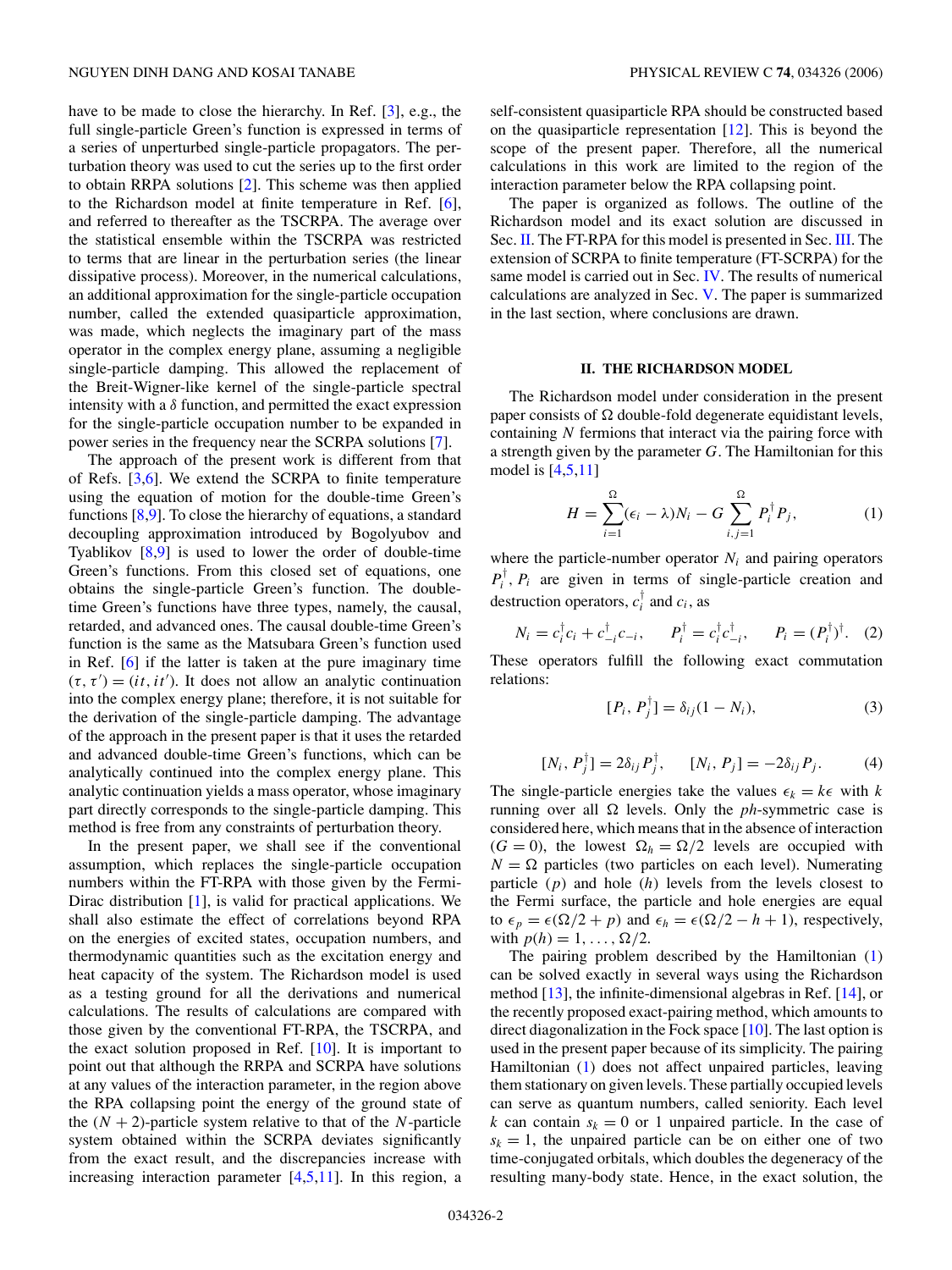<span id="page-1-0"></span>have to be made to close the hierarchy. In Ref. [\[3\]](#page-14-0), e.g., the full single-particle Green's function is expressed in terms of a series of unperturbed single-particle propagators. The perturbation theory was used to cut the series up to the first order to obtain RRPA solutions [\[2\]](#page-14-0). This scheme was then applied to the Richardson model at finite temperature in Ref. [\[6\]](#page-14-0), and referred to thereafter as the TSCRPA. The average over the statistical ensemble within the TSCRPA was restricted to terms that are linear in the perturbation series (the linear dissipative process). Moreover, in the numerical calculations, an additional approximation for the single-particle occupation number, called the extended quasiparticle approximation, was made, which neglects the imaginary part of the mass operator in the complex energy plane, assuming a negligible single-particle damping. This allowed the replacement of the Breit-Wigner-like kernel of the single-particle spectral intensity with a  $\delta$  function, and permitted the exact expression for the single-particle occupation number to be expanded in power series in the frequency near the SCRPA solutions [\[7\]](#page-14-0).

The approach of the present work is different from that of Refs. [\[3,6\]](#page-14-0). We extend the SCRPA to finite temperature using the equation of motion for the double-time Green's functions [\[8,9\]](#page-14-0). To close the hierarchy of equations, a standard decoupling approximation introduced by Bogolyubov and Tyablikov [\[8,9\]](#page-14-0) is used to lower the order of double-time Green's functions. From this closed set of equations, one obtains the single-particle Green's function. The doubletime Green's functions have three types, namely, the causal, retarded, and advanced ones. The causal double-time Green's function is the same as the Matsubara Green's function used in Ref. [\[6\]](#page-14-0) if the latter is taken at the pure imaginary time  $(\tau, \tau') = (it, it')$ . It does not allow an analytic continuation into the complex energy plane; therefore, it is not suitable for the derivation of the single-particle damping. The advantage of the approach in the present paper is that it uses the retarded and advanced double-time Green's functions, which can be analytically continued into the complex energy plane. This analytic continuation yields a mass operator, whose imaginary part directly corresponds to the single-particle damping. This method is free from any constraints of perturbation theory.

In the present paper, we shall see if the conventional assumption, which replaces the single-particle occupation numbers within the FT-RPA with those given by the Fermi-Dirac distribution [\[1\]](#page-14-0), is valid for practical applications. We shall also estimate the effect of correlations beyond RPA on the energies of excited states, occupation numbers, and thermodynamic quantities such as the excitation energy and heat capacity of the system. The Richardson model is used as a testing ground for all the derivations and numerical calculations. The results of calculations are compared with those given by the conventional FT-RPA, the TSCRPA, and the exact solution proposed in Ref.  $[10]$ . It is important to point out that although the RRPA and SCRPA have solutions at any values of the interaction parameter, in the region above the RPA collapsing point the energy of the ground state of the  $(N + 2)$ -particle system relative to that of the *N*-particle system obtained within the SCRPA deviates significantly from the exact result, and the discrepancies increase with increasing interaction parameter  $[4,5,11]$ . In this region, a self-consistent quasiparticle RPA should be constructed based on the quasiparticle representation [\[12\]](#page-14-0). This is beyond the scope of the present paper. Therefore, all the numerical calculations in this work are limited to the region of the interaction parameter below the RPA collapsing point.

The paper is organized as follows. The outline of the Richardson model and its exact solution are discussed in Sec. II. The FT-RPA for this model is presented in Sec. [III.](#page-2-0) The extension of SCRPA to finite temperature (FT-SCRPA) for the same model is carried out in Sec. [IV.](#page-3-0) The results of numerical calculations are analyzed in Sec. [V.](#page-7-0) The paper is summarized in the last section, where conclusions are drawn.

### **II. THE RICHARDSON MODEL**

The Richardson model under consideration in the present paper consists of  $\Omega$  double-fold degenerate equidistant levels, containing *N* fermions that interact via the pairing force with a strength given by the parameter *G*. The Hamiltonian for this model is  $[4,5,11]$ 

$$
H = \sum_{i=1}^{\Omega} (\epsilon_i - \lambda) N_i - G \sum_{i,j=1}^{\Omega} P_i^{\dagger} P_j, \tag{1}
$$

where the particle-number operator  $N_i$  and pairing operators  $P_i^{\dagger}$ ,  $P_i$  are given in terms of single-particle creation and destruction operators,  $c_i^{\dagger}$  and  $c_i$ , as

$$
N_i = c_i^{\dagger} c_i + c_{-i}^{\dagger} c_{-i}, \qquad P_i^{\dagger} = c_i^{\dagger} c_{-i}^{\dagger}, \qquad P_i = (P_i^{\dagger})^{\dagger}. \tag{2}
$$

These operators fulfill the following exact commutation relations:

$$
[P_i, P_j^{\dagger}] = \delta_{ij}(1 - N_i), \tag{3}
$$

$$
[N_i, P_j^{\dagger}] = 2\delta_{ij} P_j^{\dagger}, \qquad [N_i, P_j] = -2\delta_{ij} P_j. \tag{4}
$$

The single-particle energies take the values  $\epsilon_k = k\epsilon$  with *k* running over all  $\Omega$  levels. Only the *ph*-symmetric case is considered here, which means that in the absence of interaction  $(G = 0)$ , the lowest  $\Omega_h = \Omega/2$  levels are occupied with  $N = \Omega$  particles (two particles on each level). Numerating particle (*p*) and hole (*h*) levels from the levels closest to the Fermi surface, the particle and hole energies are equal to  $\epsilon_p = \epsilon(\Omega/2 + p)$  and  $\epsilon_h = \epsilon(\Omega/2 - h + 1)$ , respectively, with  $p(h) = 1, ..., \Omega/2$ .

The pairing problem described by the Hamiltonian (1) can be solved exactly in several ways using the Richardson method [\[13\]](#page-14-0), the infinite-dimensional algebras in Ref. [\[14\]](#page-14-0), or the recently proposed exact-pairing method, which amounts to direct diagonalization in the Fock space [\[10\]](#page-14-0). The last option is used in the present paper because of its simplicity. The pairing Hamiltonian (1) does not affect unpaired particles, leaving them stationary on given levels. These partially occupied levels can serve as quantum numbers, called seniority. Each level *k* can contain  $s_k = 0$  or 1 unpaired particle. In the case of  $s_k = 1$ , the unpaired particle can be on either one of two time-conjugated orbitals, which doubles the degeneracy of the resulting many-body state. Hence, in the exact solution, the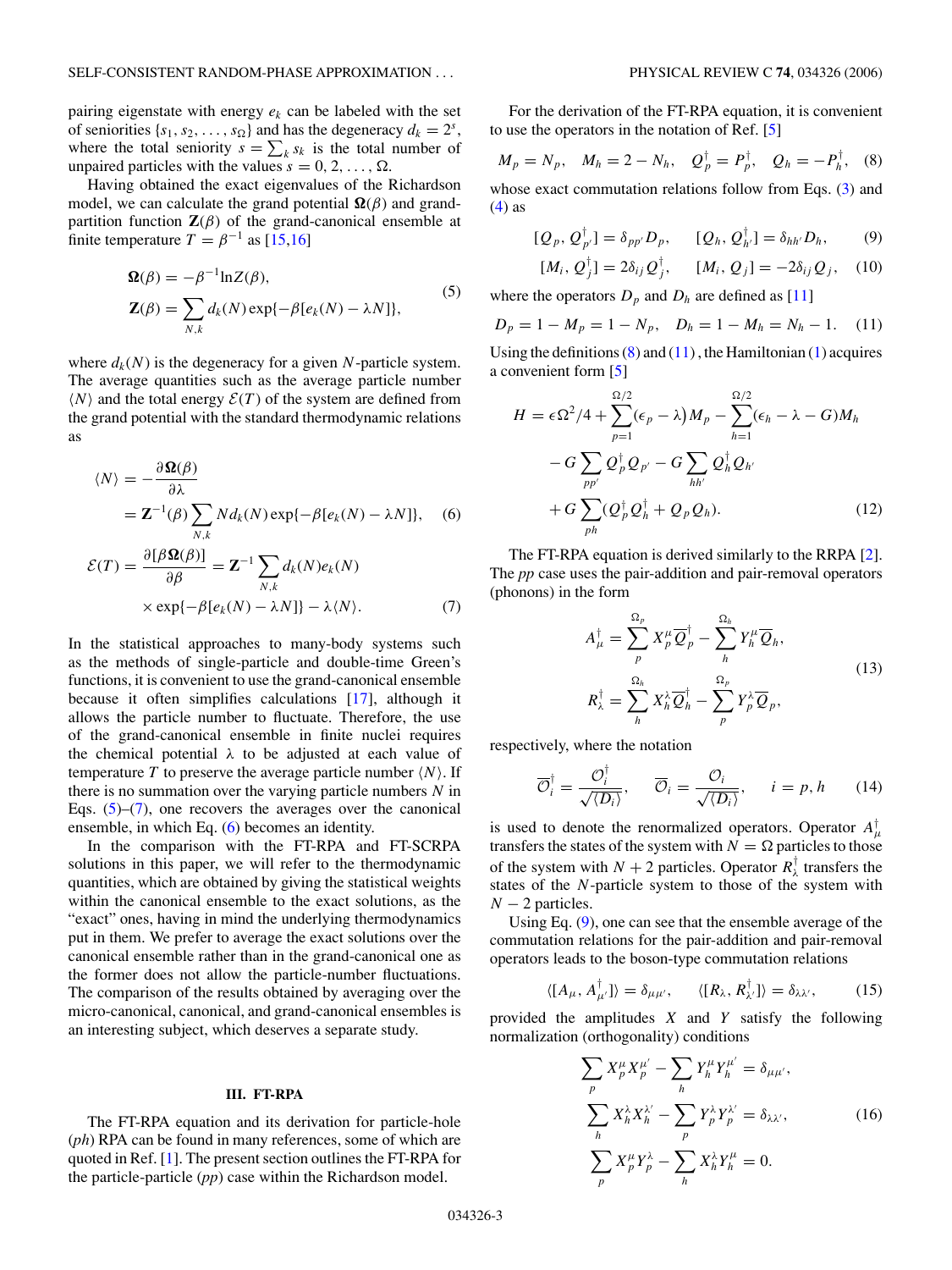<span id="page-2-0"></span>pairing eigenstate with energy *ek* can be labeled with the set of seniorities  $\{s_1, s_2, \ldots, s_{\Omega}\}\$  and has the degeneracy  $d_k = 2^s$ , where the total seniority  $s = \sum_k s_k$  is the total number of unpaired particles with the values  $s = 0, 2, \ldots, \Omega$ .

Having obtained the exact eigenvalues of the Richardson model, we can calculate the grand potential  $\Omega(\beta)$  and grandpartition function  $\mathbf{Z}(\beta)$  of the grand-canonical ensemble at finite temperature  $T = \beta^{-1}$  as [\[15,16\]](#page-14-0)

$$
\mathbf{\Omega}(\beta) = -\beta^{-1} \ln Z(\beta),
$$
  
\n
$$
\mathbf{Z}(\beta) = \sum_{N,k} d_k(N) \exp{-\beta[e_k(N) - \lambda N]},
$$
\n(5)

where  $d_k(N)$  is the degeneracy for a given N-particle system. The average quantities such as the average particle number  $\langle N \rangle$  and the total energy  $\mathcal{E}(T)$  of the system are defined from the grand potential with the standard thermodynamic relations as

$$
\langle N \rangle = -\frac{\partial \Omega(\beta)}{\partial \lambda}
$$
  
=  $\mathbf{Z}^{-1}(\beta) \sum_{N,k} N d_k(N) \exp\{-\beta [e_k(N) - \lambda N]\},$  (6)

$$
\mathcal{E}(T) = \frac{\partial [\beta \Omega(\beta)]}{\partial \beta} = \mathbf{Z}^{-1} \sum_{N,k} d_k(N) e_k(N)
$$
  
 
$$
\times \exp{-\beta[e_k(N) - \lambda N]} - \lambda \langle N \rangle.
$$
 (7)

In the statistical approaches to many-body systems such as the methods of single-particle and double-time Green's functions, it is convenient to use the grand-canonical ensemble because it often simplifies calculations [\[17\]](#page-14-0), although it allows the particle number to fluctuate. Therefore, the use of the grand-canonical ensemble in finite nuclei requires the chemical potential *λ* to be adjusted at each value of temperature  $T$  to preserve the average particle number  $\langle N \rangle$ . If there is no summation over the varying particle numbers *N* in Eqs.  $(5)-(7)$ , one recovers the averages over the canonical ensemble, in which Eq. (6) becomes an identity.

In the comparison with the FT-RPA and FT-SCRPA solutions in this paper, we will refer to the thermodynamic quantities, which are obtained by giving the statistical weights within the canonical ensemble to the exact solutions, as the "exact" ones, having in mind the underlying thermodynamics put in them. We prefer to average the exact solutions over the canonical ensemble rather than in the grand-canonical one as the former does not allow the particle-number fluctuations. The comparison of the results obtained by averaging over the micro-canonical, canonical, and grand-canonical ensembles is an interesting subject, which deserves a separate study.

#### **III. FT-RPA**

The FT-RPA equation and its derivation for particle-hole (*ph*) RPA can be found in many references, some of which are quoted in Ref. [\[1\]](#page-14-0). The present section outlines the FT-RPA for the particle-particle (*pp*) case within the Richardson model.

For the derivation of the FT-RPA equation, it is convenient to use the operators in the notation of Ref. [\[5\]](#page-14-0)

$$
M_p = N_p
$$
,  $M_h = 2 - N_h$ ,  $Q_p^{\dagger} = P_p^{\dagger}$ ,  $Q_h = -P_h^{\dagger}$ , (8)

whose exact commutation relations follow from Eqs. [\(3\)](#page-1-0) and  $(4)$  as

$$
[Q_p, Q_{p'}^\dagger] = \delta_{pp'} D_p, \qquad [Q_h, Q_{h'}^\dagger] = \delta_{hh'} D_h, \qquad (9)
$$

$$
[M_i, Q_j^{\dagger}] = 2\delta_{ij} Q_j^{\dagger}, \qquad [M_i, Q_j] = -2\delta_{ij} Q_j, \quad (10)
$$

where the operators  $D_p$  and  $D_h$  are defined as [\[11\]](#page-14-0)

$$
D_p = 1 - M_p = 1 - N_p, \quad D_h = 1 - M_h = N_h - 1. \tag{11}
$$

Using the definitions  $(8)$  and  $(11)$ , the Hamiltonian  $(1)$  acquires a convenient form [\[5\]](#page-14-0)

$$
H = \epsilon \Omega^2 / 4 + \sum_{p=1}^{\Omega/2} (\epsilon_p - \lambda) M_p - \sum_{h=1}^{\Omega/2} (\epsilon_h - \lambda - G) M_h
$$
  
- 
$$
- G \sum_{pp'} Q_p^{\dagger} Q_{p'} - G \sum_{hh'} Q_h^{\dagger} Q_{h'}
$$
  
+ 
$$
G \sum_{ph} (Q_p^{\dagger} Q_h^{\dagger} + Q_p Q_h).
$$
 (12)

The FT-RPA equation is derived similarly to the RRPA [\[2\]](#page-14-0). The *pp* case uses the pair-addition and pair-removal operators (phonons) in the form

$$
A_{\mu}^{\dagger} = \sum_{p}^{\Omega_{p}} X_{p}^{\mu} \overline{Q}_{p}^{\dagger} - \sum_{h}^{\Omega_{h}} Y_{h}^{\mu} \overline{Q}_{h},
$$
  

$$
R_{\lambda}^{\dagger} = \sum_{h}^{\Omega_{h}} X_{h}^{\lambda} \overline{Q}_{h}^{\dagger} - \sum_{p}^{\Omega_{p}} Y_{p}^{\lambda} \overline{Q}_{p},
$$
 (13)

respectively, where the notation

$$
\overline{\mathcal{O}}_i^{\dagger} = \frac{\mathcal{O}_i^{\dagger}}{\sqrt{\langle D_i \rangle}}, \quad \overline{\mathcal{O}}_i = \frac{\mathcal{O}_i}{\sqrt{\langle D_i \rangle}}, \quad i = p, h \quad (14)
$$

is used to denote the renormalized operators. Operator  $A^{\dagger}_{\mu}$ transfers the states of the system with  $N = \Omega$  particles to those of the system with  $N + 2$  particles. Operator  $R^{\dagger}_{\lambda}$  transfers the states of the *N*-particle system to those of the system with  $N-2$  particles.

Using Eq. (9), one can see that the ensemble average of the commutation relations for the pair-addition and pair-removal operators leads to the boson-type commutation relations

$$
\langle [A_{\mu}, A_{\mu'}^{\dagger}] \rangle = \delta_{\mu\mu'}, \qquad \langle [R_{\lambda}, R_{\lambda'}^{\dagger}] \rangle = \delta_{\lambda\lambda'}, \tag{15}
$$

provided the amplitudes *X* and *Y* satisfy the following normalization (orthogonality) conditions

$$
\sum_{p} X_p^{\mu} X_p^{\mu'} - \sum_{h} Y_h^{\mu} Y_h^{\mu'} = \delta_{\mu \mu'},
$$
\n
$$
\sum_{h} X_h^{\lambda} X_h^{\lambda'} - \sum_{p} Y_p^{\lambda} Y_p^{\lambda'} = \delta_{\lambda \lambda'},
$$
\n
$$
\sum_{p} X_p^{\mu} Y_p^{\lambda} - \sum_{h} X_h^{\lambda} Y_h^{\mu} = 0.
$$
\n(16)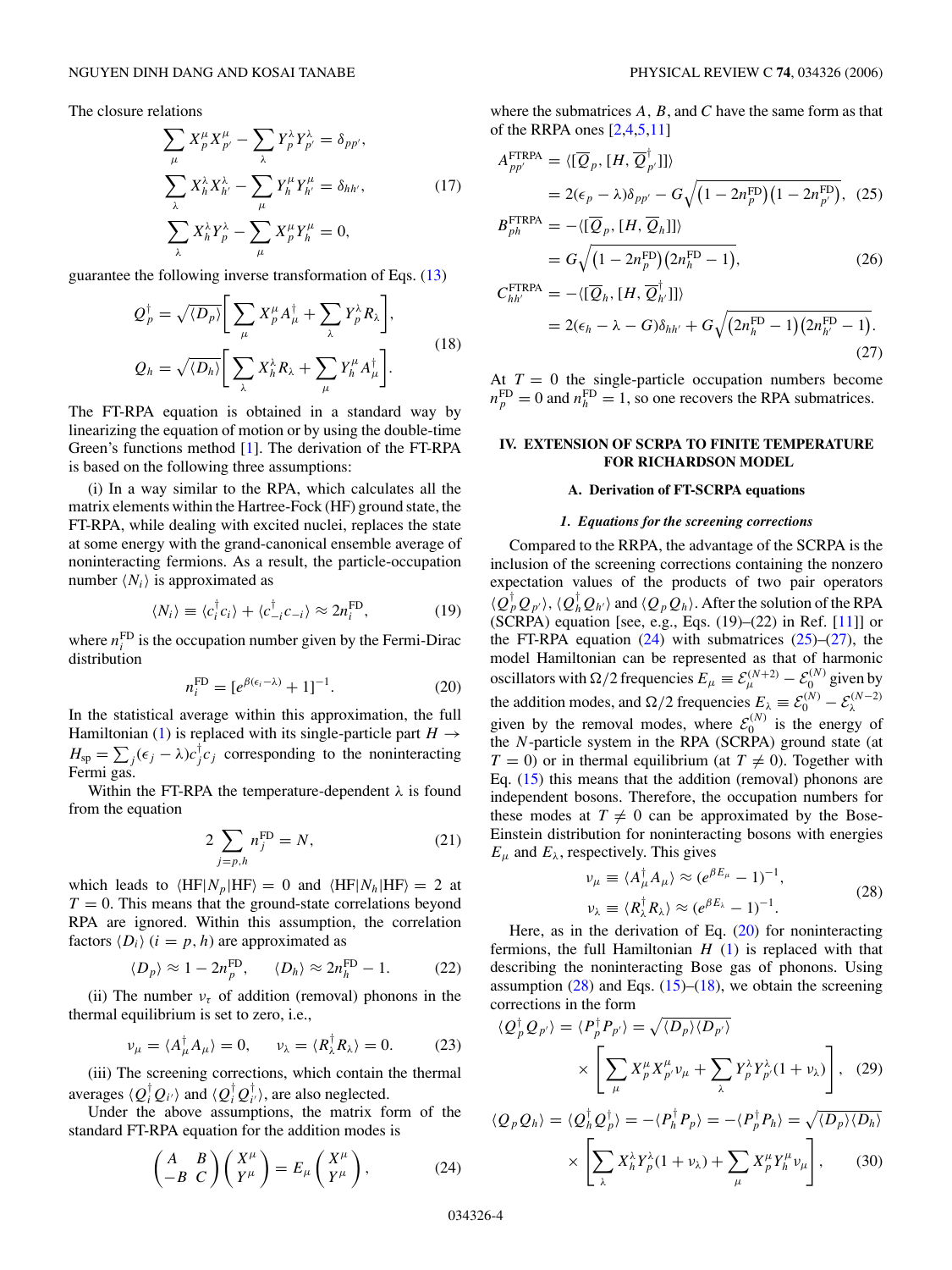<span id="page-3-0"></span>The closure relations

$$
\sum_{\mu} X_{p}^{\mu} X_{p'}^{\mu} - \sum_{\lambda} Y_{p}^{\lambda} Y_{p'}^{\lambda} = \delta_{pp'},
$$
  

$$
\sum_{\lambda} X_{h}^{\lambda} X_{h'}^{\lambda} - \sum_{\mu} Y_{h}^{\mu} Y_{h'}^{\mu} = \delta_{hh'},
$$
  

$$
\sum_{\lambda} X_{h}^{\lambda} Y_{p}^{\lambda} - \sum_{\mu} X_{p}^{\mu} Y_{h}^{\mu} = 0,
$$
 (17)

guarantee the following inverse transformation of Eqs. [\(13\)](#page-2-0)

$$
Q_p^{\dagger} = \sqrt{\langle D_p \rangle} \Bigg[ \sum_{\mu} X_p^{\mu} A_{\mu}^{\dagger} + \sum_{\lambda} Y_p^{\lambda} R_{\lambda} \Bigg],
$$
  

$$
Q_h = \sqrt{\langle D_h \rangle} \Bigg[ \sum_{\lambda} X_h^{\lambda} R_{\lambda} + \sum_{\mu} Y_h^{\mu} A_{\mu}^{\dagger} \Bigg].
$$
 (18)

The FT-RPA equation is obtained in a standard way by linearizing the equation of motion or by using the double-time Green's functions method [\[1\]](#page-14-0). The derivation of the FT-RPA is based on the following three assumptions:

(i) In a way similar to the RPA, which calculates all the matrix elements within the Hartree-Fock (HF) ground state, the FT-RPA, while dealing with excited nuclei, replaces the state at some energy with the grand-canonical ensemble average of noninteracting fermions. As a result, the particle-occupation number  $\langle N_i \rangle$  is approximated as

$$
\langle N_i \rangle \equiv \langle c_i^{\dagger} c_i \rangle + \langle c_{-i}^{\dagger} c_{-i} \rangle \approx 2n_i^{\text{FD}}, \tag{19}
$$

where  $n_i^{\text{FD}}$  is the occupation number given by the Fermi-Dirac distribution

$$
n_i^{\text{FD}} = [e^{\beta(\epsilon_i - \lambda)} + 1]^{-1}.
$$
 (20)

In the statistical average within this approximation, the full Hamiltonian [\(1\)](#page-1-0) is replaced with its single-particle part  $H \rightarrow$  $H_{\rm sp} = \sum_j (\epsilon_j - \lambda) c_j^{\dagger} c_j$  corresponding to the noninteracting Fermi gas.

Within the FT-RPA the temperature-dependent *λ* is found from the equation

$$
2\sum_{j=p,h} n_j^{\text{FD}} = N,\tag{21}
$$

which leads to  $\langle HF | N_p | HF \rangle = 0$  and  $\langle HF | N_h | HF \rangle = 2$  at  $T = 0$ . This means that the ground-state correlations beyond RPA are ignored. Within this assumption, the correlation factors  $\langle D_i \rangle$  (*i* = *p*, *h*) are approximated as

$$
\langle D_p \rangle \approx 1 - 2n_p^{\rm FD}, \qquad \langle D_h \rangle \approx 2n_h^{\rm FD} - 1. \tag{22}
$$

(ii) The number  $v<sub>\tau</sub>$  of addition (removal) phonons in the thermal equilibrium is set to zero, i.e.,

$$
\nu_{\mu} = \langle A_{\mu}^{\dagger} A_{\mu} \rangle = 0, \qquad \nu_{\lambda} = \langle R_{\lambda}^{\dagger} R_{\lambda} \rangle = 0. \tag{23}
$$

(iii) The screening corrections, which contain the thermal averages  $\langle Q_i^{\dagger} Q_{i'} \rangle$  and  $\langle Q_i^{\dagger} Q_{i'}^{\dagger} \rangle$ , are also neglected.

Under the above assumptions, the matrix form of the standard FT-RPA equation for the addition modes is

$$
\begin{pmatrix} A & B \\ -B & C \end{pmatrix} \begin{pmatrix} X^{\mu} \\ Y^{\mu} \end{pmatrix} = E_{\mu} \begin{pmatrix} X^{\mu} \\ Y^{\mu} \end{pmatrix}, \tag{24}
$$

where the submatrices *A, B*, and *C* have the same form as that of the RRPA ones [\[2,4,5,11\]](#page-14-0)

$$
A_{pp'}^{\text{FTRPA}} = \langle [\overline{Q}_p, [H, \overline{Q}_{p'}^{\dagger}]] \rangle
$$
  
= 2( $\epsilon_p - \lambda$ ) $\delta_{pp'} - G \sqrt{(1 - 2n_p^{\text{FD}})(1 - 2n_{p'}^{\text{FD}})}, (25)$   

$$
B_{ph}^{\text{FTRPA}} = -\langle [\overline{Q}_p, [H, \overline{Q}_h]] \rangle
$$

$$
= G \sqrt{\left(1 - 2n_p^{\text{FD}}\right) \left(2n_h^{\text{FD}} - 1\right)},\tag{26}
$$

$$
C_{hh'}^{\text{FTRPA}} = -\langle [\overline{Q}_h, [H, \overline{Q}_h^{\dagger}]] \rangle
$$
  
= 2( $\epsilon_h - \lambda - G$ ) $\delta_{hh'} + G \sqrt{(2n_h^{\text{FD}} - 1)(2n_{h'}^{\text{FD}} - 1)}$ . (27)

At  $T = 0$  the single-particle occupation numbers become  $n_p^{\text{FD}} = 0$  and  $n_h^{\text{FD}} = 1$ , so one recovers the RPA submatrices.

# **IV. EXTENSION OF SCRPA TO FINITE TEMPERATURE FOR RICHARDSON MODEL**

### **A. Derivation of FT-SCRPA equations**

#### *1. Equations for the screening corrections*

Compared to the RRPA, the advantage of the SCRPA is the inclusion of the screening corrections containing the nonzero expectation values of the products of two pair operators  $\langle Q_p^{\dagger} Q_{p'} \rangle$ ,  $\langle Q_h^{\dagger} Q_{h'} \rangle$  and  $\langle Q_p Q_h \rangle$ . After the solution of the RPA (SCRPA) equation [see, e.g., Eqs. (19)–(22) in Ref. [\[11\]](#page-14-0)] or the FT-RPA equation  $(24)$  with submatrices  $(25)$ – $(27)$ , the model Hamiltonian can be represented as that of harmonic oscillators with  $\Omega/2$  frequencies  $E_{\mu} \equiv \mathcal{E}_{\mu}^{(N+2)} - \mathcal{E}_{0}^{(N)}$  given by the addition modes, and  $\Omega/2$  frequencies  $E_{\lambda} \equiv \mathcal{E}_0^{(N)} - \mathcal{E}_{\lambda}^{(N-2)}$ given by the removal modes, where  $\mathcal{E}_0^{(N)}$  is the energy of the *N*-particle system in the RPA (SCRPA) ground state (at  $T = 0$ ) or in thermal equilibrium (at  $T \neq 0$ ). Together with Eq.  $(15)$  this means that the addition (removal) phonons are independent bosons. Therefore, the occupation numbers for these modes at  $T \neq 0$  can be approximated by the Bose-Einstein distribution for noninteracting bosons with energies  $E_{\mu}$  and  $E_{\lambda}$ , respectively. This gives

$$
\nu_{\mu} \equiv \langle A_{\mu}^{\dagger} A_{\mu} \rangle \approx (e^{\beta E_{\mu}} - 1)^{-1},
$$
  
\n
$$
\nu_{\lambda} \equiv \langle R_{\lambda}^{\dagger} R_{\lambda} \rangle \approx (e^{\beta E_{\lambda}} - 1)^{-1}.
$$
\n(28)

Here, as in the derivation of Eq.  $(20)$  for noninteracting fermions, the full Hamiltonian *H* [\(1\)](#page-1-0) is replaced with that describing the noninteracting Bose gas of phonons. Using assumption  $(28)$  and Eqs.  $(15)$ – $(18)$ , we obtain the screening corrections in the form

$$
\langle Q_p^{\dagger} Q_{p'} \rangle = \langle P_p^{\dagger} P_{p'} \rangle = \sqrt{\langle D_p \rangle \langle D_{p'} \rangle}
$$

$$
\times \left[ \sum_{\mu} X_p^{\mu} X_{p'}^{\mu} v_{\mu} + \sum_{\lambda} Y_p^{\lambda} Y_{p'}^{\lambda} (1 + v_{\lambda}) \right], \quad (29)
$$

$$
\langle Q_p Q_h \rangle = \langle Q_h^{\dagger} Q_p^{\dagger} \rangle = -\langle P_h^{\dagger} P_p \rangle = -\langle P_p^{\dagger} P_h \rangle = \sqrt{\langle D_p \rangle \langle D_h \rangle}
$$

$$
\times \left[ \sum_{\lambda} X_h^{\lambda} Y_p^{\lambda} (1 + \nu_{\lambda}) + \sum_{\mu} X_p^{\mu} Y_h^{\mu} \nu_{\mu} \right], \tag{30}
$$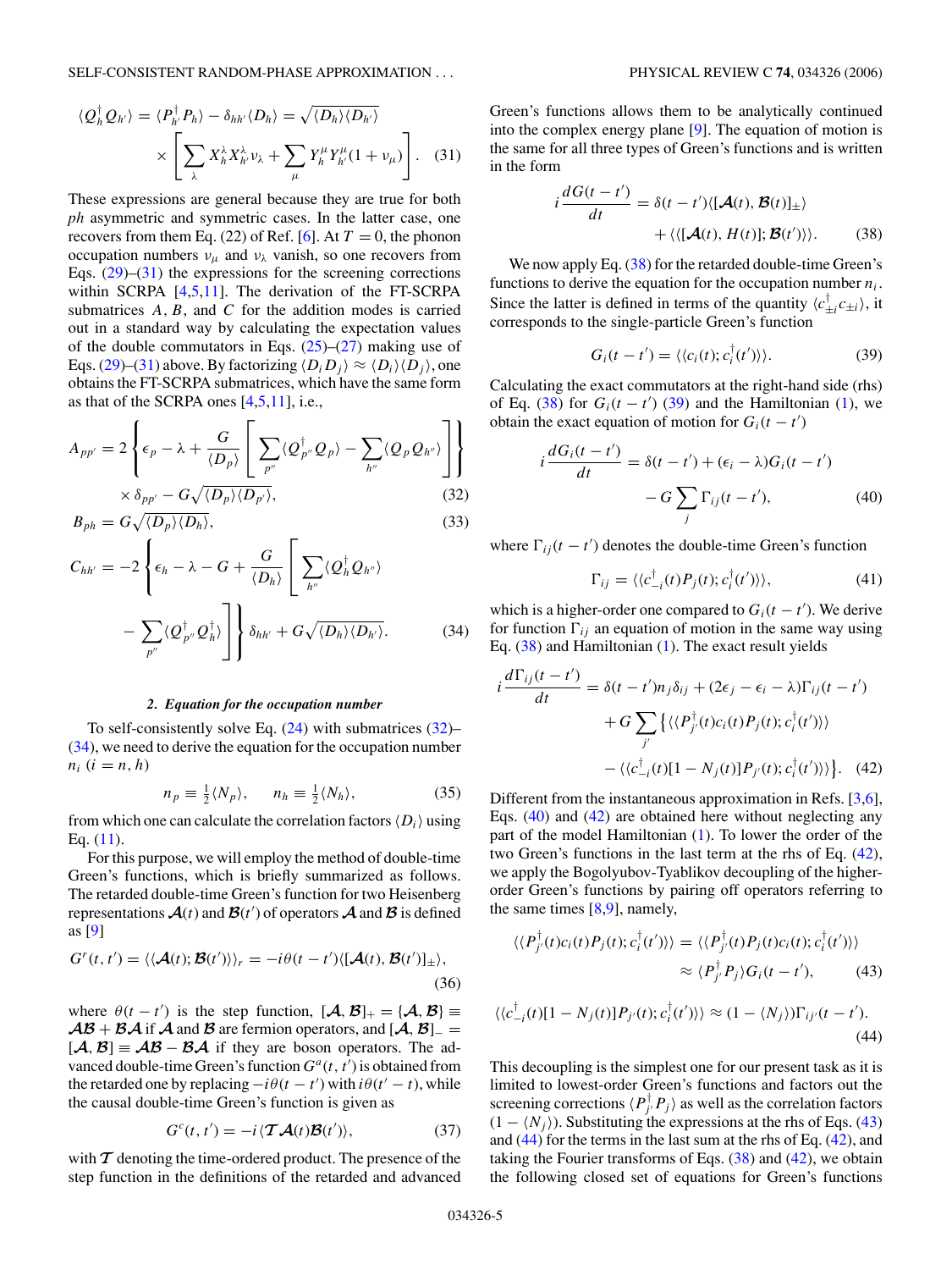<span id="page-4-0"></span>
$$
\langle Q_{h}^{\dagger} Q_{h'} \rangle = \langle P_{h'}^{\dagger} P_{h} \rangle - \delta_{hh'} \langle D_{h} \rangle = \sqrt{\langle D_{h} \rangle \langle D_{h'} \rangle}
$$

$$
\times \left[ \sum_{\lambda} X_{h}^{\lambda} X_{h'}^{\lambda} \nu_{\lambda} + \sum_{\mu} Y_{h}^{\mu} Y_{h'}^{\mu} (1 + \nu_{\mu}) \right]. \quad (31)
$$

These expressions are general because they are true for both *ph* asymmetric and symmetric cases. In the latter case, one recovers from them Eq. (22) of Ref. [\[6\]](#page-14-0). At  $T = 0$ , the phonon occupation numbers  $v_\mu$  and  $v_\lambda$  vanish, so one recovers from Eqs.  $(29)$ – $(31)$  the expressions for the screening corrections within SCRPA [\[4,5,11\]](#page-14-0). The derivation of the FT-SCRPA submatrices *A, B*, and *C* for the addition modes is carried out in a standard way by calculating the expectation values of the double commutators in Eqs.  $(25)-(27)$  $(25)-(27)$  $(25)-(27)$  making use of Eqs. [\(29\)](#page-3-0)–(31) above. By factorizing  $\langle D_i D_j \rangle \approx \langle D_i \rangle \langle D_j \rangle$ , one obtains the FT-SCRPA submatrices, which have the same form as that of the SCRPA ones [\[4,5,11\]](#page-14-0), i.e.,

$$
A_{pp'} = 2\left\{\epsilon_p - \lambda + \frac{G}{\langle D_p \rangle} \left[ \sum_{p''} \langle Q_{p''}^{\dagger} Q_p \rangle - \sum_{h''} \langle Q_p Q_{h''} \rangle \right] \right\}
$$

$$
\times \delta_{pp'} - G \sqrt{\langle D_p \rangle \langle D_{p'} \rangle},
$$
(32)

$$
B_{ph} = G \sqrt{\langle D_p \rangle \langle D_h \rangle},\tag{33}
$$

$$
C_{hh'} = -2 \left\{ \epsilon_h - \lambda - G + \frac{G}{\langle D_h \rangle} \left[ \sum_{h''} \langle Q_h^{\dagger} Q_{h''} \rangle \right] - \sum_{p''} \langle Q_{p''}^{\dagger} Q_h^{\dagger} \rangle \right] \right\} \delta_{hh'} + G \sqrt{\langle D_h \rangle \langle D_{h'} \rangle}.
$$
 (34)

# *2. Equation for the occupation number*

To self-consistently solve Eq. [\(24\)](#page-3-0) with submatrices (32)– (34), we need to derive the equation for the occupation number  $n_i$  ( $i = n, h$ )

$$
n_p \equiv \frac{1}{2} \langle N_p \rangle, \quad n_h \equiv \frac{1}{2} \langle N_h \rangle, \tag{35}
$$

from which one can calculate the correlation factors  $\langle D_i \rangle$  using Eq.  $(11)$ .

For this purpose, we will employ the method of double-time Green's functions, which is briefly summarized as follows. The retarded double-time Green's function for two Heisenberg representations  $\mathcal{A}(t)$  and  $\mathcal{B}(t')$  of operators  $\mathcal{A}$  and  $\mathcal{B}$  is defined as [\[9\]](#page-14-0)

$$
G^{r}(t, t') = \langle \langle \mathcal{A}(t); \mathcal{B}(t') \rangle \rangle_{r} = -i\theta(t - t') \langle [\mathcal{A}(t), \mathcal{B}(t')]_{\pm} \rangle, \tag{36}
$$

where  $\theta(t - t')$  is the step function,  $[\mathcal{A}, \mathcal{B}]_+ = {\mathcal{A}, \mathcal{B}} \equiv$  $\mathcal{AB} + \mathcal{BA}$  if  $\mathcal A$  and  $\mathcal B$  are fermion operators, and  $[\mathcal A, \mathcal B]_-=$  $[*A*, *B*] \equiv \mathcal{AB} - \mathcal{BA}$  if they are boson operators. The advanced double-time Green's function  $G^a(t, t')$  is obtained from the retarded one by replacing  $-i\theta(t - t')$  with  $i\theta(t' - t)$ , while the causal double-time Green's function is given as

$$
G^{c}(t, t') = -i \langle \mathcal{T} \mathcal{A}(t) \mathcal{B}(t') \rangle, \qquad (37)
$$

with  $\tau$  denoting the time-ordered product. The presence of the step function in the definitions of the retarded and advanced Green's functions allows them to be analytically continued into the complex energy plane [\[9\]](#page-14-0). The equation of motion is the same for all three types of Green's functions and is written in the form

$$
i\frac{dG(t-t')}{dt} = \delta(t-t')\langle [\mathcal{A}(t), \mathcal{B}(t)]_{\pm}\rangle
$$
  
+\langle\langle [\mathcal{A}(t), H(t)]; \mathcal{B}(t')\rangle\rangle. (38)

We now apply Eq. (38) for the retarded double-time Green's functions to derive the equation for the occupation number  $n_i$ . Since the latter is defined in terms of the quantity  $\langle c_{\pm i}^{\dagger} c_{\pm i} \rangle$ , it corresponds to the single-particle Green's function

$$
G_i(t - t') = \langle \langle c_i(t); c_i^{\dagger}(t') \rangle \rangle.
$$
 (39)

Calculating the exact commutators at the right-hand side (rhs) of Eq. (38) for  $G_i(t - t')$  (39) and the Hamiltonian [\(1\)](#page-1-0), we obtain the exact equation of motion for  $G_i(t - t')$ 

$$
i\frac{dG_i(t-t')}{dt} = \delta(t-t') + (\epsilon_i - \lambda)G_i(t-t')
$$

$$
-G\sum_j \Gamma_{ij}(t-t'), \qquad (40)
$$

where  $\Gamma_{ij}(t - t')$  denotes the double-time Green's function

$$
\Gamma_{ij} = \langle \langle c_{-i}^{\dagger}(t) P_j(t) ; c_i^{\dagger}(t') \rangle \rangle, \tag{41}
$$

which is a higher-order one compared to  $G_i(t - t')$ . We derive for function  $\Gamma_{ij}$  an equation of motion in the same way using Eq. (38) and Hamiltonian [\(1\)](#page-1-0). The exact result yields

$$
i\frac{d\Gamma_{ij}(t-t')}{dt} = \delta(t-t')n_j\delta_{ij} + (2\epsilon_j - \epsilon_i - \lambda)\Gamma_{ij}(t-t') + G\sum_{j'} \left\{ \langle \langle P_{j'}^{\dagger}(t)c_i(t)P_j(t);c_i^{\dagger}(t') \rangle \rangle \right. - \langle \langle c_{-i}^{\dagger}(t)[1-N_j(t)]P_{j'}(t);c_i^{\dagger}(t') \rangle \rangle \right\}. \tag{42}
$$

Different from the instantaneous approximation in Refs. [\[3,6\]](#page-14-0), Eqs. (40) and (42) are obtained here without neglecting any part of the model Hamiltonian [\(1\)](#page-1-0). To lower the order of the two Green's functions in the last term at the rhs of Eq. (42), we apply the Bogolyubov-Tyablikov decoupling of the higherorder Green's functions by pairing off operators referring to the same times [\[8,9\]](#page-14-0), namely,

$$
\langle \langle P_{j'}^{\dagger}(t)c_i(t)P_j(t); c_i^{\dagger}(t') \rangle \rangle = \langle \langle P_{j'}^{\dagger}(t)P_j(t)c_i(t); c_i^{\dagger}(t') \rangle \rangle
$$
  

$$
\approx \langle P_{j'}^{\dagger}P_j \rangle G_i(t-t'), \qquad (43)
$$

$$
\langle \langle c_{-i}^{\dagger}(t)[1-N_j(t)]P_{j'}(t);c_i^{\dagger}(t')\rangle \rangle \approx (1-\langle N_j\rangle)\Gamma_{ij'}(t-t').
$$
\n(44)

This decoupling is the simplest one for our present task as it is limited to lowest-order Green's functions and factors out the screening corrections  $\langle P_j^{\dagger} P_j \rangle$  as well as the correlation factors  $(1 - \langle N_j \rangle)$ . Substituting the expressions at the rhs of Eqs. (43) and (44) for the terms in the last sum at the rhs of Eq. (42), and taking the Fourier transforms of Eqs.  $(38)$  and  $(42)$ , we obtain the following closed set of equations for Green's functions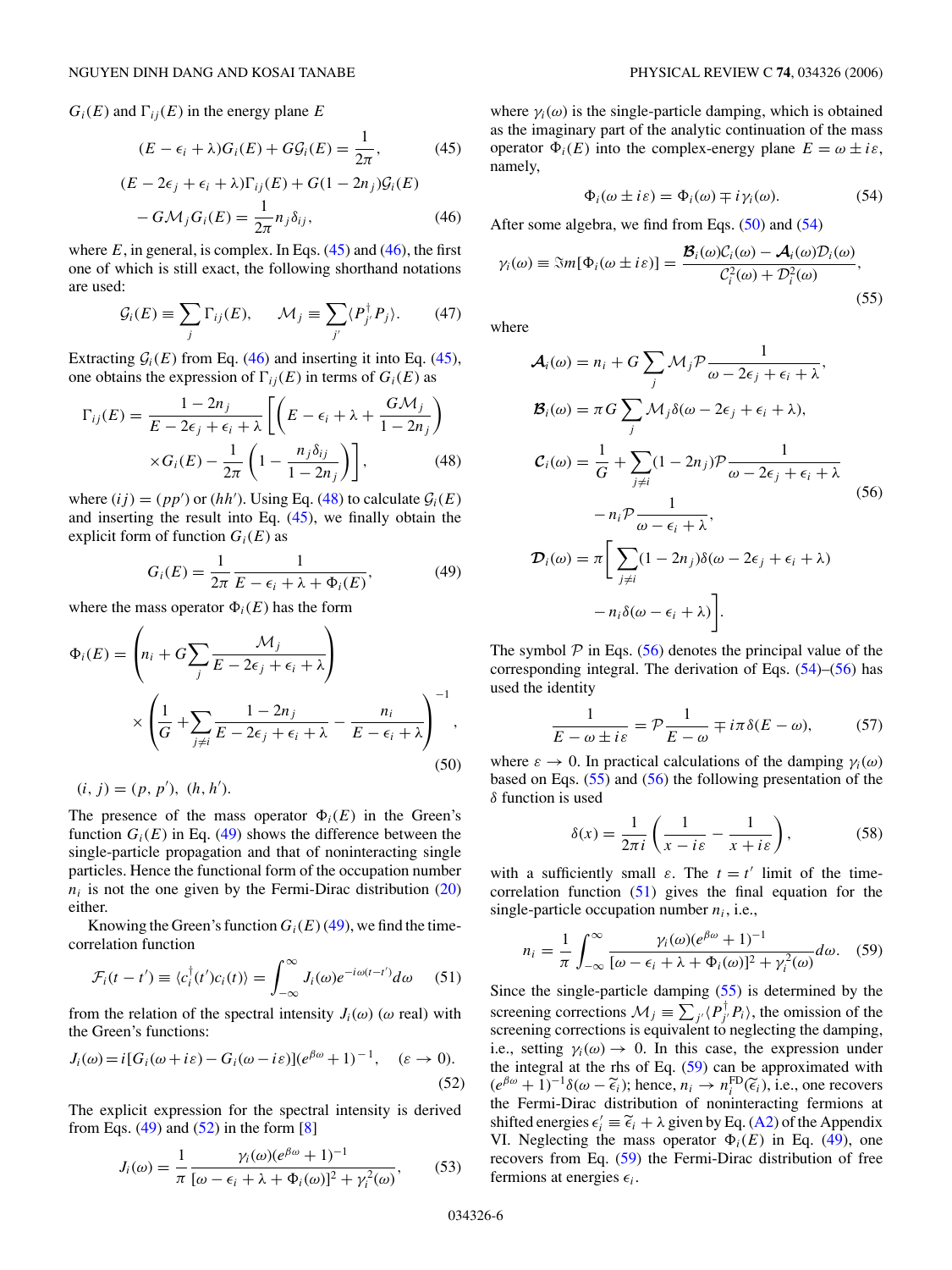<span id="page-5-0"></span> $G_i(E)$  and  $\Gamma_{ij}(E)$  in the energy plane *E* 

$$
(E - \epsilon_i + \lambda)G_i(E) + G\mathcal{G}_i(E) = \frac{1}{2\pi},
$$
\n(45)

$$
(E - 2\epsilon_j + \epsilon_i + \lambda)\Gamma_{ij}(E) + G(1 - 2n_j)\mathcal{G}_i(E)
$$

$$
- G\mathcal{M}_j G_i(E) = \frac{1}{2\pi} n_j \delta_{ij},
$$
(46)

where  $E$ , in general, is complex. In Eqs.  $(45)$  and  $(46)$ , the first one of which is still exact, the following shorthand notations are used:

$$
\mathcal{G}_i(E) \equiv \sum_j \Gamma_{ij}(E), \qquad \mathcal{M}_j \equiv \sum_{j'} \langle P_{j'}^{\dagger} P_j \rangle. \tag{47}
$$

Extracting  $G_i(E)$  from Eq. (46) and inserting it into Eq. (45), one obtains the expression of  $\Gamma_{ij}(E)$  in terms of  $G_i(E)$  as

$$
\Gamma_{ij}(E) = \frac{1 - 2n_j}{E - 2\epsilon_j + \epsilon_i + \lambda} \left[ \left( E - \epsilon_i + \lambda + \frac{G\mathcal{M}_j}{1 - 2n_j} \right) \times G_i(E) - \frac{1}{2\pi} \left( 1 - \frac{n_j \delta_{ij}}{1 - 2n_j} \right) \right],\tag{48}
$$

where  $(ij) = (pp')$  or  $(hh')$ . Using Eq. (48) to calculate  $\mathcal{G}_i(E)$ and inserting the result into Eq. (45), we finally obtain the explicit form of function  $G_i(E)$  as

$$
G_i(E) = \frac{1}{2\pi} \frac{1}{E - \epsilon_i + \lambda + \Phi_i(E)},
$$
(49)

where the mass operator  $\Phi_i(E)$  has the form

$$
\Phi_i(E) = \left( n_i + G \sum_j \frac{\mathcal{M}_j}{E - 2\epsilon_j + \epsilon_i + \lambda} \right)
$$

$$
\times \left( \frac{1}{G} + \sum_{j \neq i} \frac{1 - 2n_j}{E - 2\epsilon_j + \epsilon_i + \lambda} - \frac{n_i}{E - \epsilon_i + \lambda} \right)^{-1},
$$
(50)

 $(i, j) = (p, p'), (h, h').$ 

The presence of the mass operator  $\Phi_i(E)$  in the Green's function  $G_i(E)$  in Eq. (49) shows the difference between the single-particle propagation and that of noninteracting single particles. Hence the functional form of the occupation number  $n_i$  is not the one given by the Fermi-Dirac distribution  $(20)$ either.

Knowing the Green's function  $G_i(E)(49)$ , we find the timecorrelation function

$$
\mathcal{F}_i(t-t') \equiv \langle c_i^{\dagger}(t')c_i(t) \rangle = \int_{-\infty}^{\infty} J_i(\omega)e^{-i\omega(t-t')}d\omega \qquad (51)
$$

from the relation of the spectral intensity  $J_i(\omega)$  ( $\omega$  real) with the Green's functions:

$$
J_i(\omega) = i[G_i(\omega + i\varepsilon) - G_i(\omega - i\varepsilon)](e^{\beta \omega} + 1)^{-1}, \quad (\varepsilon \to 0).
$$
\n(52)

The explicit expression for the spectral intensity is derived from Eqs.  $(49)$  and  $(52)$  in the form  $[8]$ 

$$
J_i(\omega) = \frac{1}{\pi} \frac{\gamma_i(\omega)(e^{\beta \omega} + 1)^{-1}}{[\omega - \epsilon_i + \lambda + \Phi_i(\omega)]^2 + \gamma_i^2(\omega)},
$$
(53)

where  $\gamma_i(\omega)$  is the single-particle damping, which is obtained as the imaginary part of the analytic continuation of the mass operator  $\Phi_i(E)$  into the complex-energy plane  $E = \omega \pm i\varepsilon$ , namely,

$$
\Phi_i(\omega \pm i\varepsilon) = \Phi_i(\omega) \mp i\gamma_i(\omega). \tag{54}
$$

After some algebra, we find from Eqs.  $(50)$  and  $(54)$ 

$$
\gamma_i(\omega) \equiv \Im m[\Phi_i(\omega \pm i\varepsilon)] = \frac{\mathcal{B}_i(\omega)\mathcal{C}_i(\omega) - \mathcal{A}_i(\omega)\mathcal{D}_i(\omega)}{\mathcal{C}_i^2(\omega) + \mathcal{D}_i^2(\omega)},
$$
\n(55)

where

$$
\mathcal{A}_{i}(\omega) = n_{i} + G \sum_{j} \mathcal{M}_{j} \mathcal{P} \frac{1}{\omega - 2\epsilon_{j} + \epsilon_{i} + \lambda},
$$
\n
$$
\mathcal{B}_{i}(\omega) = \pi G \sum_{j} \mathcal{M}_{j} \delta(\omega - 2\epsilon_{j} + \epsilon_{i} + \lambda),
$$
\n
$$
\mathcal{C}_{i}(\omega) = \frac{1}{G} + \sum_{j \neq i} (1 - 2n_{j}) \mathcal{P} \frac{1}{\omega - 2\epsilon_{j} + \epsilon_{i} + \lambda}
$$
\n
$$
- n_{i} \mathcal{P} \frac{1}{\omega - \epsilon_{i} + \lambda},
$$
\n
$$
\mathcal{D}_{i}(\omega) = \pi \Big[ \sum_{j \neq i} (1 - 2n_{j}) \delta(\omega - 2\epsilon_{j} + \epsilon_{i} + \lambda)
$$
\n
$$
- n_{i} \delta(\omega - \epsilon_{i} + \lambda) \Big].
$$
\n(56)

The symbol  $P$  in Eqs. (56) denotes the principal value of the corresponding integral. The derivation of Eqs. (54)–(56) has used the identity

$$
\frac{1}{E - \omega \pm i\varepsilon} = \mathcal{P}\frac{1}{E - \omega} \mp i\pi \delta(E - \omega),\tag{57}
$$

where  $\varepsilon \to 0$ . In practical calculations of the damping  $\gamma_i(\omega)$ based on Eqs. (55) and (56) the following presentation of the *δ* function is used

$$
\delta(x) = \frac{1}{2\pi i} \left( \frac{1}{x - i\varepsilon} - \frac{1}{x + i\varepsilon} \right),\tag{58}
$$

with a sufficiently small  $\varepsilon$ . The  $t = t'$  limit of the timecorrelation function  $(51)$  gives the final equation for the single-particle occupation number  $n_i$ , i.e.,

$$
n_i = \frac{1}{\pi} \int_{-\infty}^{\infty} \frac{\gamma_i(\omega)(e^{\beta \omega} + 1)^{-1}}{[\omega - \epsilon_i + \lambda + \Phi_i(\omega)]^2 + \gamma_i^2(\omega)} d\omega. \quad (59)
$$

Since the single-particle damping (55) is determined by the screening corrections  $\mathcal{M}_j \equiv \sum_{j'} \langle P_{j'}^{\dagger} P_i \rangle$ , the omission of the screening corrections is equivalent to neglecting the damping, i.e., setting  $\gamma_i(\omega) \to 0$ . In this case, the expression under the integral at the rhs of Eq. (59) can be approximated with  $(e^{\beta \omega} + 1)^{-1} \delta(\omega - \tilde{\epsilon}_i)$ ; hence,  $n_i \to n_i^{\text{FD}}(\tilde{\epsilon}_i)$ , i.e., one recovers the Fermi-Dirac distribution of noninteracting fermions at shifted energies  $\epsilon'_i = \tilde{\epsilon}_i + \lambda$  given by Eq. [\(A2\)](#page-12-0) of the Appendix<br>VI Neglecting the mass operator  $\Phi$  (*F*) in Eq. (49), one VI. Neglecting the mass operator  $\Phi_i(E)$  in Eq. (49), one recovers from Eq. (59) the Fermi-Dirac distribution of free fermions at energies  $\epsilon_i$ .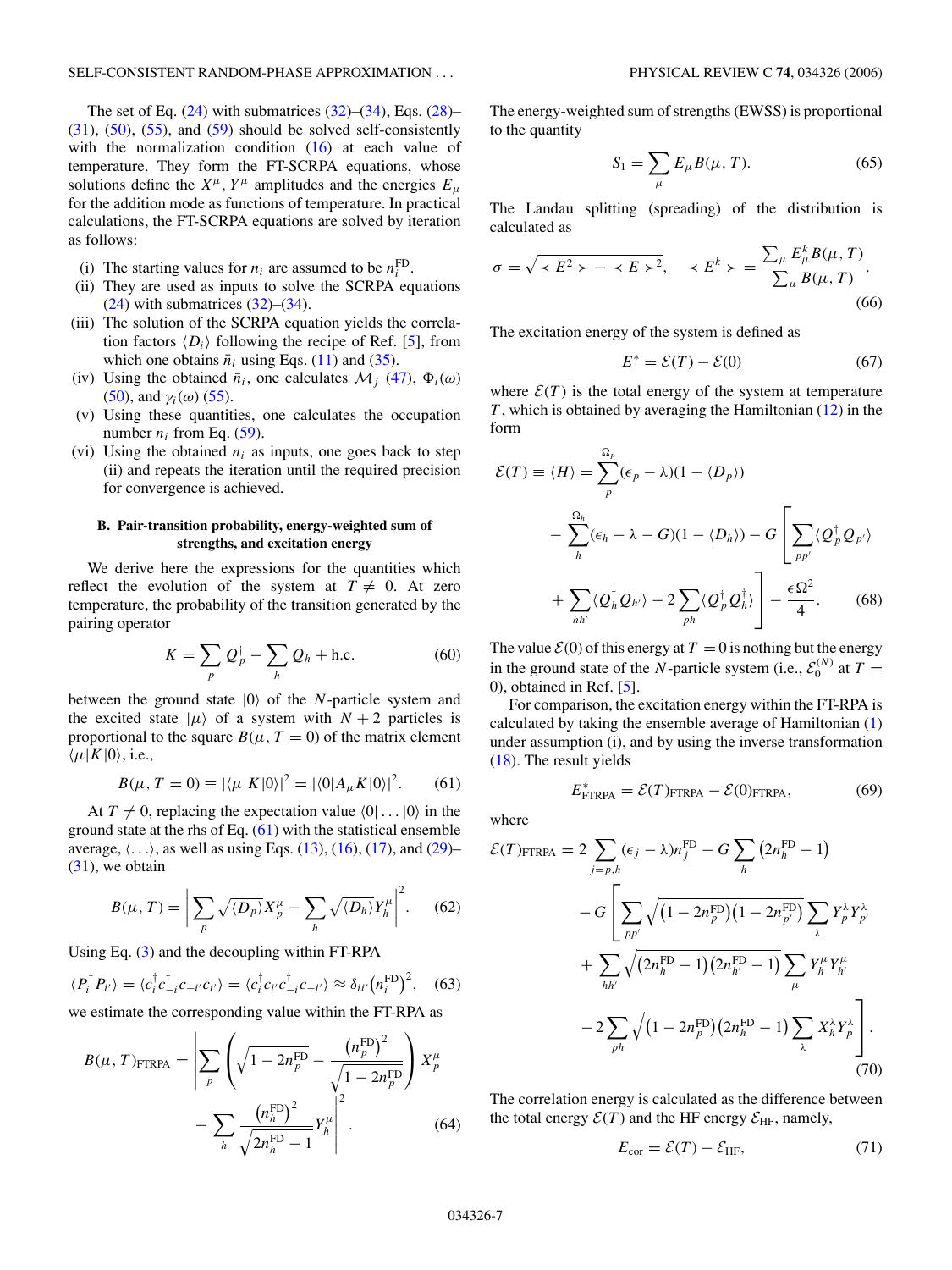<span id="page-6-0"></span>The set of Eq.  $(24)$  with submatrices  $(32)$ – $(34)$ , Eqs.  $(28)$ –  $(31)$ ,  $(50)$ ,  $(55)$ , and  $(59)$  should be solved self-consistently with the normalization condition [\(16\)](#page-2-0) at each value of temperature. They form the FT-SCRPA equations, whose solutions define the  $X^{\mu}$ ,  $Y^{\mu}$  amplitudes and the energies  $E_{\mu}$ for the addition mode as functions of temperature. In practical calculations, the FT-SCRPA equations are solved by iteration as follows:

- (i) The starting values for  $n_i$  are assumed to be  $n_i^{\text{FD}}$ .
- (ii) They are used as inputs to solve the SCRPA equations  $(24)$  with submatrices  $(32)$ – $(34)$ .
- (iii) The solution of the SCRPA equation yields the correlation factors  $\langle D_i \rangle$  following the recipe of Ref. [\[5\]](#page-14-0), from which one obtains  $\bar{n}_i$  using Eqs. [\(11\)](#page-2-0) and [\(35\)](#page-4-0).
- (iv) Using the obtained  $\bar{n}_i$ , one calculates  $\mathcal{M}_i$  [\(47\)](#page-5-0),  $\Phi_i(\omega)$ [\(50\)](#page-5-0), and  $\gamma_i(\omega)$  [\(55\)](#page-5-0).
- (v) Using these quantities, one calculates the occupation number  $n_i$  from Eq. [\(59\)](#page-5-0).
- (vi) Using the obtained  $n_i$  as inputs, one goes back to step (ii) and repeats the iteration until the required precision for convergence is achieved.

## **B. Pair-transition probability, energy-weighted sum of strengths, and excitation energy**

We derive here the expressions for the quantities which reflect the evolution of the system at  $T \neq 0$ . At zero temperature, the probability of the transition generated by the pairing operator

$$
K = \sum_{p} Q_p^{\dagger} - \sum_{h} Q_h + \text{h.c.}
$$
 (60)

between the ground state  $|0\rangle$  of the *N*-particle system and the excited state  $|\mu\rangle$  of a system with  $N+2$  particles is proportional to the square  $B(\mu, T = 0)$  of the matrix element  $\langle \mu | K | 0 \rangle$ , i.e.,

$$
B(\mu, T = 0) \equiv |\langle \mu | K | 0 \rangle|^2 = |\langle 0 | A_{\mu} K | 0 \rangle|^2. \tag{61}
$$

At  $T \neq 0$ , replacing the expectation value  $\langle 0 | \dots | 0 \rangle$  in the ground state at the rhs of Eq.  $(61)$  with the statistical ensemble average,  $\langle \ldots \rangle$ , as well as using Eqs. [\(13\)](#page-2-0), [\(16\)](#page-2-0), [\(17\)](#page-3-0), and [\(29\)](#page-3-0)–  $(31)$ , we obtain

$$
B(\mu, T) = \left| \sum_{p} \sqrt{\langle D_p \rangle} X_p^{\mu} - \sum_{h} \sqrt{\langle D_h \rangle} Y_h^{\mu} \right|^2. \tag{62}
$$

Using Eq. [\(3\)](#page-1-0) and the decoupling within FT-RPA

$$
\langle P_i^{\dagger} P_{i'} \rangle = \langle c_i^{\dagger} c_{-i}^{\dagger} c_{-i'} c_{i'} \rangle = \langle c_i^{\dagger} c_{i'} c_{-i}^{\dagger} c_{-i'} \rangle \approx \delta_{ii'} (n_i^{\text{FD}})^2, \quad (63)
$$

we estimate the corresponding value within the FT-RPA as

$$
B(\mu, T)_{\text{FTRPA}} = \left| \sum_{p} \left( \sqrt{1 - 2n_{p}^{\text{FD}}} - \frac{\left( n_{p}^{\text{FD}} \right)^{2}}{\sqrt{1 - 2n_{p}^{\text{FD}}}} \right) X_{p}^{\mu} - \sum_{h} \frac{\left( n_{h}^{\text{FD}} \right)^{2}}{\sqrt{2n_{h}^{\text{FD}} - 1}} Y_{h}^{\mu} \right|^{2}.
$$
 (64)

The energy-weighted sum of strengths (EWSS) is proportional to the quantity

$$
S_1 = \sum_{\mu} E_{\mu} B(\mu, T). \tag{65}
$$

The Landau splitting (spreading) of the distribution is calculated as

$$
\sigma = \sqrt{\langle E^2 \rangle - \langle E \rangle^2}, \quad \langle E^k \rangle = \frac{\sum_{\mu} E_{\mu}^k B(\mu, T)}{\sum_{\mu} B(\mu, T)}.
$$
\n(66)

The excitation energy of the system is defined as

$$
E^* = \mathcal{E}(T) - \mathcal{E}(0) \tag{67}
$$

where  $\mathcal{E}(T)$  is the total energy of the system at temperature *T* , which is obtained by averaging the Hamiltonian [\(12\)](#page-2-0) in the form

$$
\mathcal{E}(T) \equiv \langle H \rangle = \sum_{p}^{\Omega_{p}} (\epsilon_{p} - \lambda)(1 - \langle D_{p} \rangle)
$$
  

$$
- \sum_{h}^{\Omega_{h}} (\epsilon_{h} - \lambda - G)(1 - \langle D_{h} \rangle) - G \left[ \sum_{pp'} \langle Q_{p}^{\dagger} Q_{p'} \rangle + \sum_{hh'} \langle Q_{h}^{\dagger} Q_{h'} \rangle - 2 \sum_{ph} \langle Q_{p}^{\dagger} Q_{h}^{\dagger} \rangle \right] - \frac{\epsilon \Omega^{2}}{4}.
$$
 (68)

The value  $\mathcal{E}(0)$  of this energy at  $T = 0$  is nothing but the energy in the ground state of the *N*-particle system (i.e.,  $\mathcal{E}_0^{(N)}$  at  $T =$ 0), obtained in Ref. [\[5\]](#page-14-0).

For comparison, the excitation energy within the FT-RPA is calculated by taking the ensemble average of Hamiltonian [\(1\)](#page-1-0) under assumption (i), and by using the inverse transformation [\(18\)](#page-3-0). The result yields

$$
E_{\text{FTRPA}}^* = \mathcal{E}(T)_{\text{FTRPA}} - \mathcal{E}(0)_{\text{FTRPA}},\tag{69}
$$

where

$$
\mathcal{E}(T)_{\text{FTRPA}} = 2 \sum_{j=p,h} (\epsilon_j - \lambda) n_j^{\text{FD}} - G \sum_h (2n_h^{\text{FD}} - 1)
$$

$$
- G \left[ \sum_{pp'} \sqrt{(1 - 2n_p^{\text{FD}})(1 - 2n_{p'}^{\text{FD}})} \sum_{\lambda} Y_p^{\lambda} Y_{p'}^{\lambda} + \sum_{hh'} \sqrt{(2n_h^{\text{FD}} - 1)(2n_{h'}^{\text{FD}} - 1)} \sum_{\mu} Y_h^{\mu} Y_{h'}^{\mu} - 2 \sum_{ph} \sqrt{(1 - 2n_p^{\text{FD}})(2n_h^{\text{FD}} - 1)} \sum_{\lambda} X_h^{\lambda} Y_{p}^{\lambda} \right].
$$
(70)

The correlation energy is calculated as the difference between the total energy  $\mathcal{E}(T)$  and the HF energy  $\mathcal{E}_{HF}$ , namely,

$$
E_{\text{cor}} = \mathcal{E}(T) - \mathcal{E}_{\text{HF}},\tag{71}
$$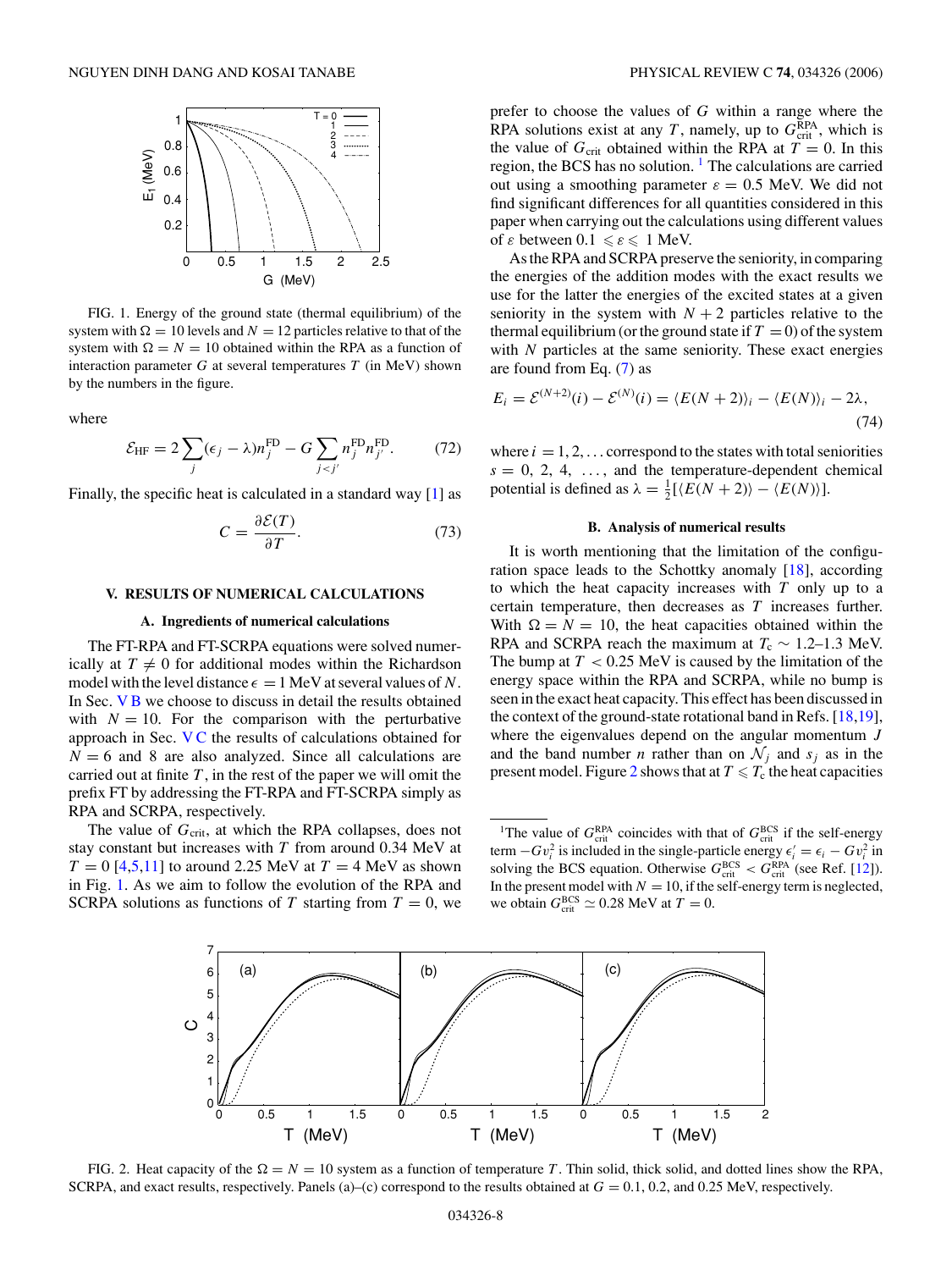<span id="page-7-0"></span>

FIG. 1. Energy of the ground state (thermal equilibrium) of the system with  $\Omega = 10$  levels and  $N = 12$  particles relative to that of the system with  $\Omega = N = 10$  obtained within the RPA as a function of interaction parameter *G* at several temperatures *T* (in MeV) shown by the numbers in the figure.

where

$$
\mathcal{E}_{\text{HF}} = 2 \sum_{j} (\epsilon_j - \lambda) n_j^{\text{FD}} - G \sum_{j < j'} n_j^{\text{FD}} n_{j'}^{\text{FD}}. \tag{72}
$$

Finally, the specific heat is calculated in a standard way [\[1\]](#page-14-0) as

$$
C = \frac{\partial \mathcal{E}(T)}{\partial T}.
$$
 (73)

### **V. RESULTS OF NUMERICAL CALCULATIONS**

#### **A. Ingredients of numerical calculations**

The FT-RPA and FT-SCRPA equations were solved numerically at  $T \neq 0$  for additional modes within the Richardson model with the level distance  $\epsilon = 1$  MeV at several values of *N*. In Sec. V B we choose to discuss in detail the results obtained with  $N = 10$ . For the comparison with the perturbative approach in Sec. [V C](#page-11-0) the results of calculations obtained for  $N = 6$  and 8 are also analyzed. Since all calculations are carried out at finite  $T$ , in the rest of the paper we will omit the prefix FT by addressing the FT-RPA and FT-SCRPA simply as RPA and SCRPA, respectively.

The value of G<sub>crit</sub>, at which the RPA collapses, does not stay constant but increases with *T* from around 0.34 MeV at  $T = 0$  [\[4,5,11\]](#page-14-0) to around 2.25 MeV at  $T = 4$  MeV as shown in Fig. 1. As we aim to follow the evolution of the RPA and SCRPA solutions as functions of *T* starting from  $T = 0$ , we

prefer to choose the values of *G* within a range where the RPA solutions exist at any  $T$ , namely, up to  $G_{\text{crit}}^{\text{RPA}}$ , which is the value of  $G_{\text{crit}}$  obtained within the RPA at  $T = 0$ . In this region, the BCS has no solution. <sup>1</sup> The calculations are carried out using a smoothing parameter  $\varepsilon = 0.5$  MeV. We did not find significant differences for all quantities considered in this paper when carrying out the calculations using different values of *ε* between  $0.1 \le \epsilon \le 1$  MeV.

As the RPA and SCRPA preserve the seniority, in comparing the energies of the addition modes with the exact results we use for the latter the energies of the excited states at a given seniority in the system with  $N + 2$  particles relative to the thermal equilibrium (or the ground state if  $T = 0$ ) of the system with *N* particles at the same seniority. These exact energies are found from Eq. [\(7\)](#page-2-0) as

$$
E_i = \mathcal{E}^{(N+2)}(i) - \mathcal{E}^{(N)}(i) = \langle E(N+2) \rangle_i - \langle E(N) \rangle_i - 2\lambda,
$$
\n(74)

where  $i = 1, 2, \ldots$  correspond to the states with total seniorities  $s = 0, 2, 4, \ldots$ , and the temperature-dependent chemical potential is defined as  $\lambda = \frac{1}{2} [\langle E(N+2) \rangle - \langle E(N) \rangle].$ 

### **B. Analysis of numerical results**

It is worth mentioning that the limitation of the configuration space leads to the Schottky anomaly [\[18\]](#page-14-0), according to which the heat capacity increases with *T* only up to a certain temperature, then decreases as *T* increases further. With  $\Omega = N = 10$ , the heat capacities obtained within the RPA and SCRPA reach the maximum at  $T_c \sim 1.2-1.3$  MeV. The bump at *T <* 0.25 MeV is caused by the limitation of the energy space within the RPA and SCRPA, while no bump is seen in the exact heat capacity. This effect has been discussed in the context of the ground-state rotational band in Refs. [\[18,19\]](#page-14-0), where the eigenvalues depend on the angular momentum *J* and the band number *n* rather than on  $\mathcal{N}_i$  and  $s_i$  as in the present model. Figure 2 shows that at  $T \le T_c$  the heat capacities

<sup>&</sup>lt;sup>1</sup>The value of  $G_{\text{crit}}^{\text{RPA}}$  coincides with that of  $G_{\text{crit}}^{\text{BCS}}$  if the self-energy term  $-Gv_i^2$  is included in the single-particle energy  $\epsilon'_i = \epsilon_i - Gv_i^2$  in solving the BCS equation. Otherwise  $G_{\text{crit}}^{\text{BCS}} < G_{\text{crit}}^{\text{RPA}}$  (see Ref. [\[12\]](#page-14-0)). In the present model with  $N = 10$ , if the self-energy term is neglected, we obtain  $G_{\text{crit}}^{\text{BCS}} \simeq 0.28 \text{ MeV}$  at  $T = 0$ .



FIG. 2. Heat capacity of the  $\Omega = N = 10$  system as a function of temperature *T*. Thin solid, thick solid, and dotted lines show the RPA, SCRPA, and exact results, respectively. Panels (a)–(c) correspond to the results obtained at *G* = 0.1, 0.2, and 0.25 MeV, respectively.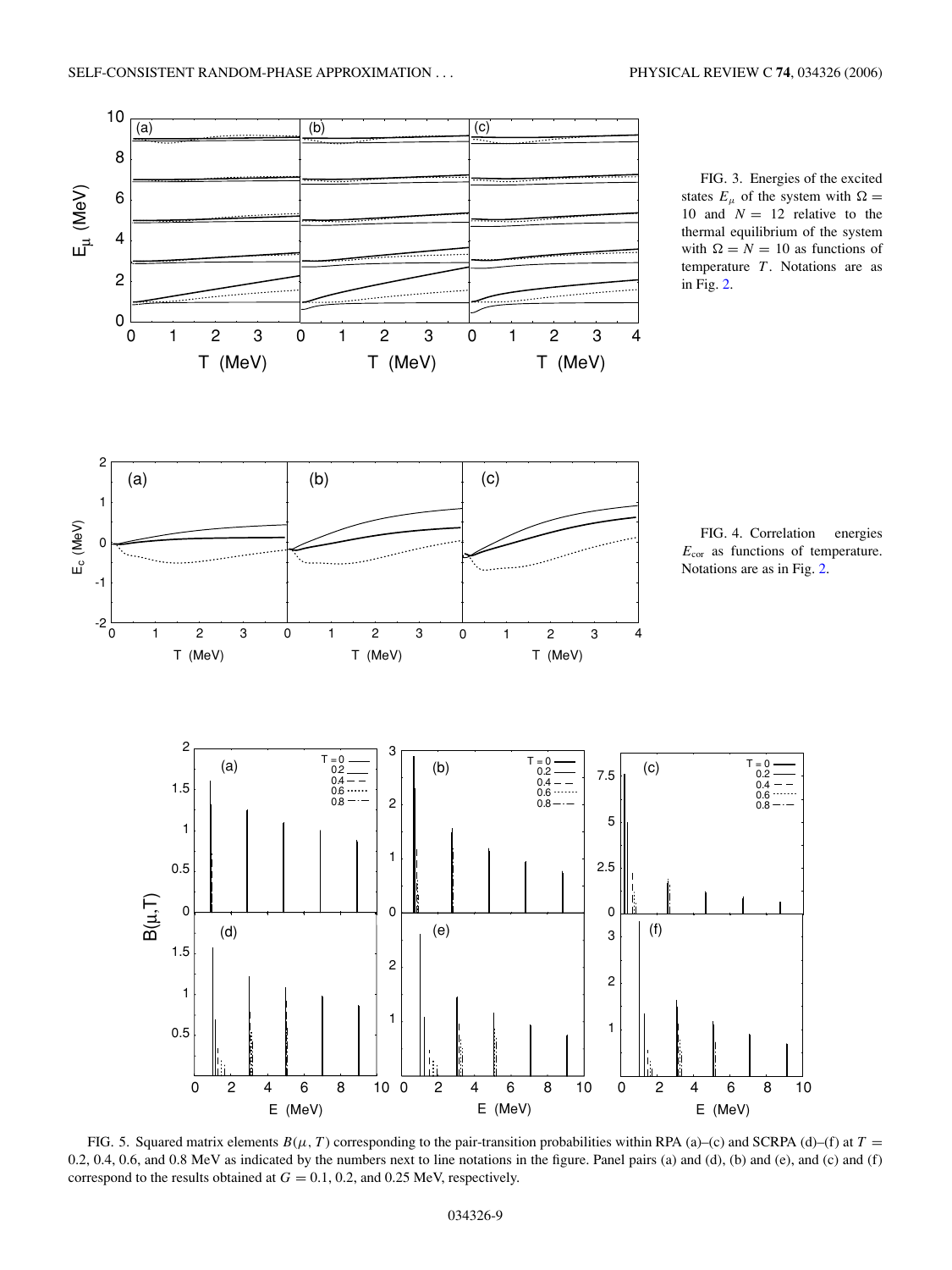<span id="page-8-0"></span>

FIG. 5. Squared matrix elements  $B(\mu, T)$  corresponding to the pair-transition probabilities within RPA (a)–(c) and SCRPA (d)–(f) at  $T =$ 0.2, 0.4, 0.6, and 0.8 MeV as indicated by the numbers next to line notations in the figure. Panel pairs (a) and (d), (b) and (e), and (c) and (f) correspond to the results obtained at  $G = 0.1, 0.2,$  and 0.25 MeV, respectively.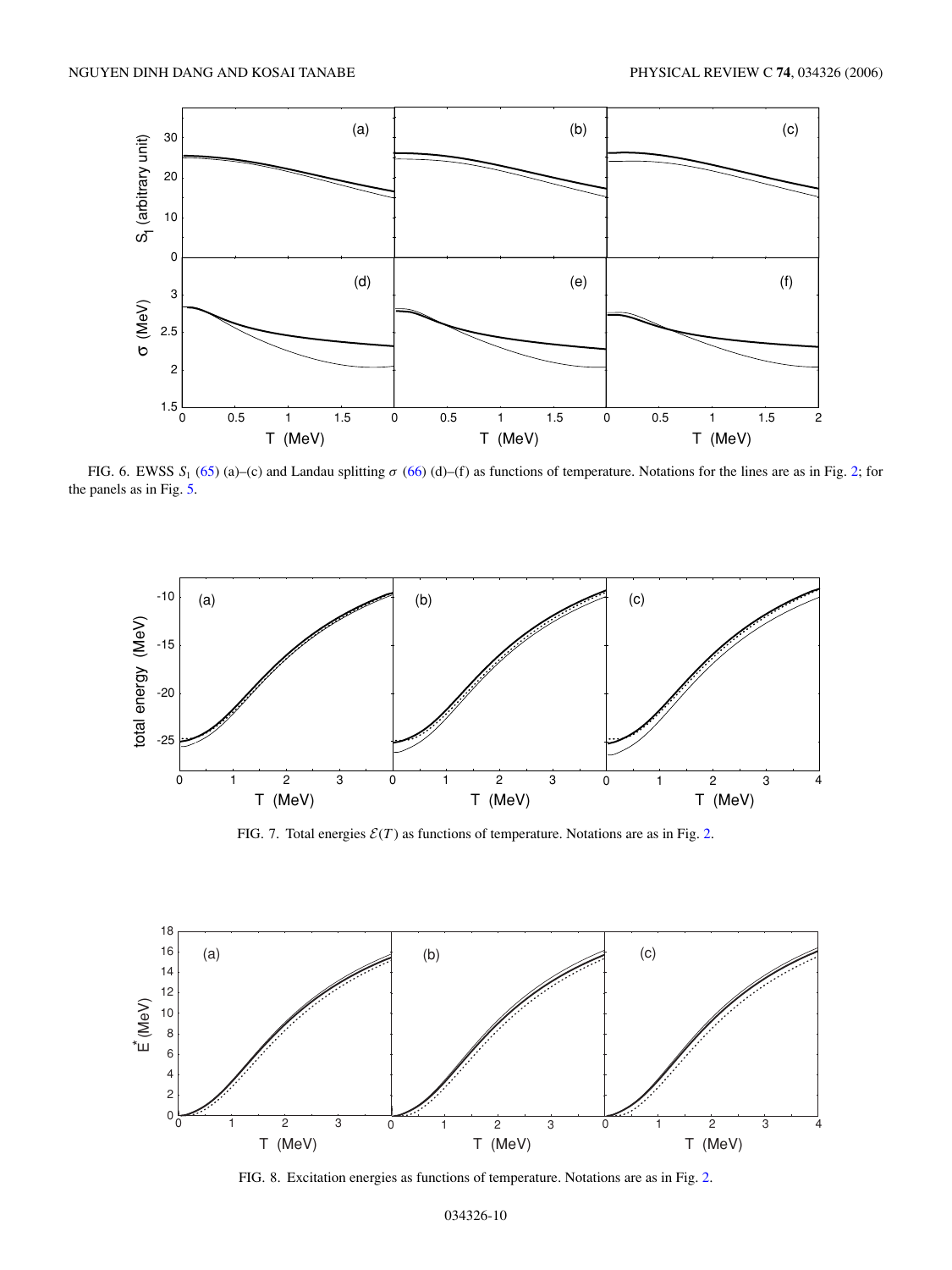<span id="page-9-0"></span>

FIG. 6. EWSS *S*<sup>1</sup> [\(65\)](#page-6-0) (a)–(c) and Landau splitting *σ* [\(66\)](#page-6-0) (d)–(f) as functions of temperature. Notations for the lines are as in Fig. [2;](#page-7-0) for the panels as in Fig. [5.](#page-8-0)



FIG. 7. Total energies  $\mathcal{E}(T)$  as functions of temperature. Notations are as in Fig. [2.](#page-7-0)



FIG. 8. Excitation energies as functions of temperature. Notations are as in Fig. [2.](#page-7-0)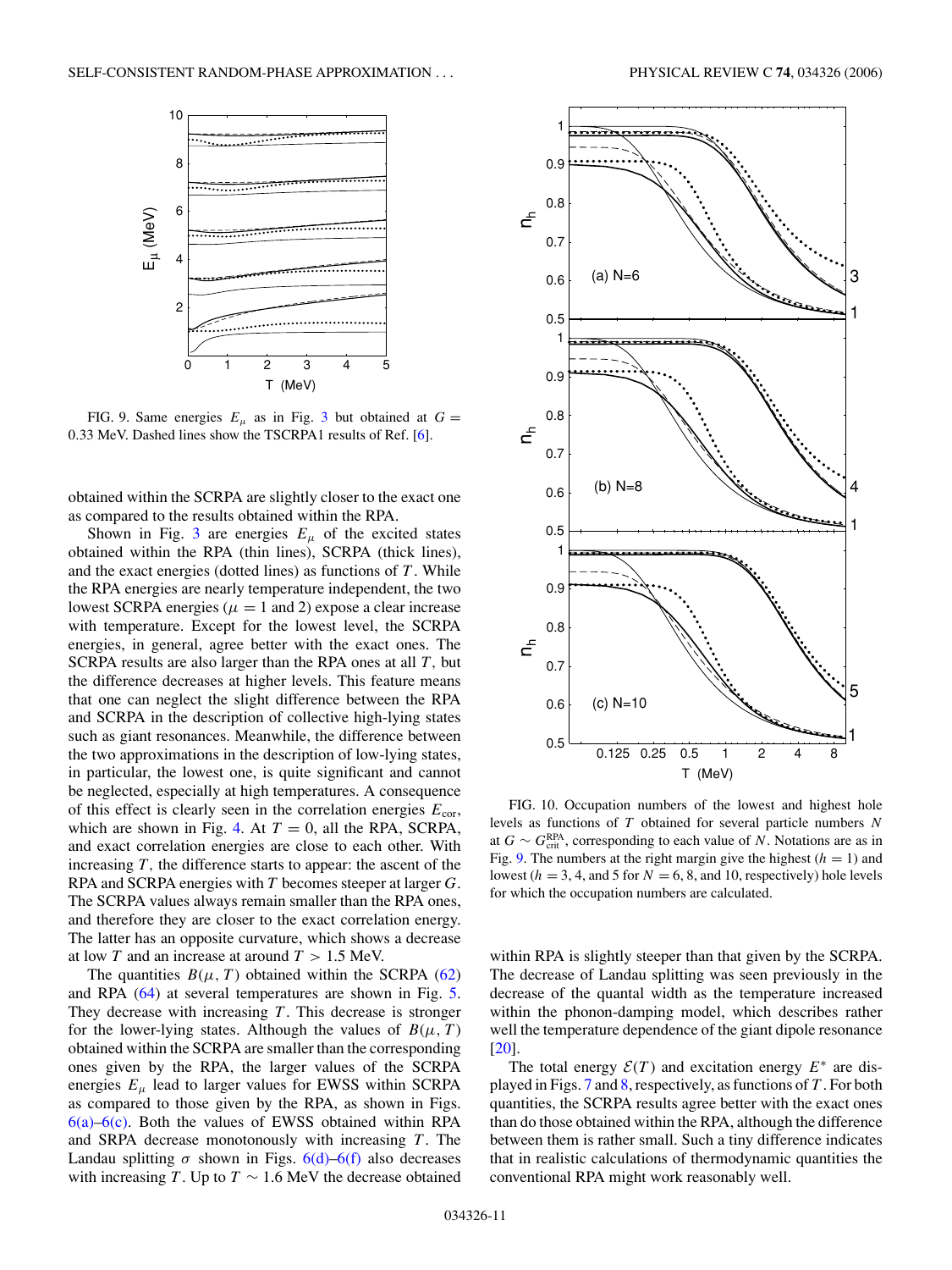<span id="page-10-0"></span>

FIG. 9. Same energies  $E_{\mu}$  as in Fig. [3](#page-8-0) but obtained at  $G =$ 0*.*33 MeV. Dashed lines show the TSCRPA1 results of Ref. [\[6\]](#page-14-0).

obtained within the SCRPA are slightly closer to the exact one as compared to the results obtained within the RPA.

Shown in Fig. [3](#page-8-0) are energies  $E_{\mu}$  of the excited states obtained within the RPA (thin lines), SCRPA (thick lines), and the exact energies (dotted lines) as functions of *T* . While the RPA energies are nearly temperature independent, the two lowest SCRPA energies ( $\mu = 1$  and 2) expose a clear increase with temperature. Except for the lowest level, the SCRPA energies, in general, agree better with the exact ones. The SCRPA results are also larger than the RPA ones at all *T ,* but the difference decreases at higher levels. This feature means that one can neglect the slight difference between the RPA and SCRPA in the description of collective high-lying states such as giant resonances. Meanwhile, the difference between the two approximations in the description of low-lying states, in particular, the lowest one, is quite significant and cannot be neglected, especially at high temperatures. A consequence of this effect is clearly seen in the correlation energies  $E_{\text{cor}}$ , which are shown in Fig. [4.](#page-8-0) At  $T = 0$ , all the RPA, SCRPA, and exact correlation energies are close to each other. With increasing *T ,* the difference starts to appear: the ascent of the RPA and SCRPA energies with *T* becomes steeper at larger *G*. The SCRPA values always remain smaller than the RPA ones, and therefore they are closer to the exact correlation energy. The latter has an opposite curvature, which shows a decrease at low *T* and an increase at around *T >* 1.5 MeV.

The quantities  $B(\mu, T)$  obtained within the SCRPA [\(62\)](#page-6-0) and RPA [\(64\)](#page-6-0) at several temperatures are shown in Fig. [5.](#page-8-0) They decrease with increasing *T* . This decrease is stronger for the lower-lying states. Although the values of  $B(\mu, T)$ obtained within the SCRPA are smaller than the corresponding ones given by the RPA, the larger values of the SCRPA energies  $E_{\mu}$  lead to larger values for EWSS within SCRPA as compared to those given by the RPA, as shown in Figs.  $6(a)$ – $6(c)$ . Both the values of EWSS obtained within RPA and SRPA decrease monotonously with increasing *T*. The Landau splitting  $\sigma$  shown in Figs.  $6(d)$ – $6(f)$  also decreases with increasing *T*. Up to  $T \sim 1.6$  MeV the decrease obtained





FIG. 10. Occupation numbers of the lowest and highest hole levels as functions of *T* obtained for several particle numbers *N* at  $G \sim G_{\text{crit}}^{\text{RPA}}$ , corresponding to each value of *N*. Notations are as in Fig. 9. The numbers at the right margin give the highest  $(h = 1)$  and lowest ( $h = 3, 4$ , and 5 for  $N = 6, 8$ , and 10, respectively) hole levels for which the occupation numbers are calculated.

within RPA is slightly steeper than that given by the SCRPA. The decrease of Landau splitting was seen previously in the decrease of the quantal width as the temperature increased within the phonon-damping model, which describes rather well the temperature dependence of the giant dipole resonance [\[20\]](#page-14-0).

The total energy  $\mathcal{E}(T)$  and excitation energy  $E^*$  are displayed in Figs. [7](#page-9-0) and [8,](#page-9-0) respectively, as functions of *T* . For both quantities, the SCRPA results agree better with the exact ones than do those obtained within the RPA, although the difference between them is rather small. Such a tiny difference indicates that in realistic calculations of thermodynamic quantities the conventional RPA might work reasonably well.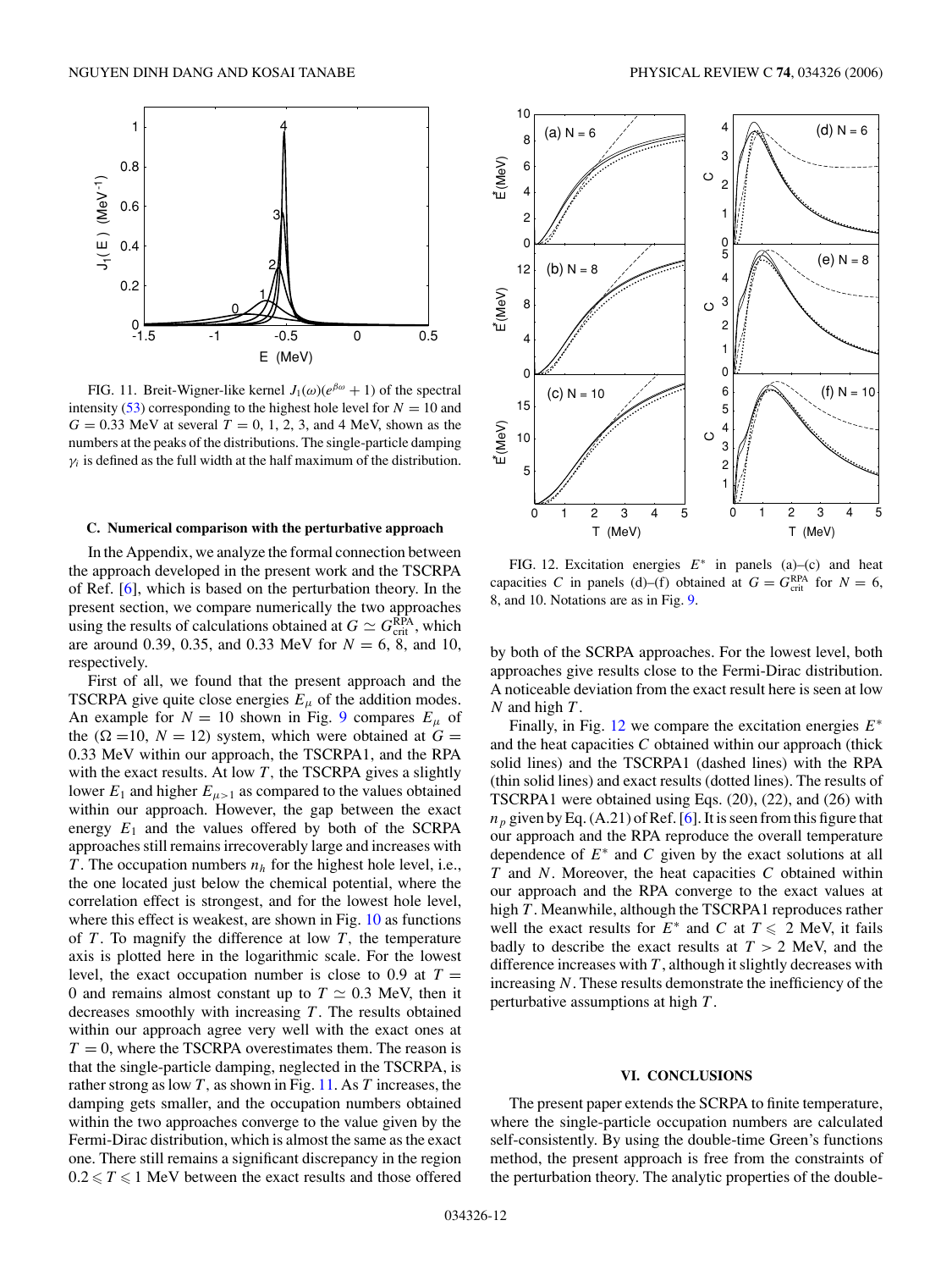<span id="page-11-0"></span>

FIG. 11. Breit-Wigner-like kernel  $J_1(\omega)(e^{\beta \omega} + 1)$  of the spectral intensity [\(53\)](#page-5-0) corresponding to the highest hole level for  $N = 10$  and  $G = 0.33$  MeV at several  $T = 0, 1, 2, 3$ , and 4 MeV, shown as the numbers at the peaks of the distributions. The single-particle damping  $\gamma_i$  is defined as the full width at the half maximum of the distribution.

#### **C. Numerical comparison with the perturbative approach**

In the Appendix, we analyze the formal connection between the approach developed in the present work and the TSCRPA of Ref. [\[6\]](#page-14-0), which is based on the perturbation theory. In the present section, we compare numerically the two approaches using the results of calculations obtained at  $G \simeq G_{\text{crit}}^{\text{RPA}}$ , which are around 0.39, 0.35, and 0.33 MeV for *N* = 6, 8, and 10, respectively.

First of all, we found that the present approach and the TSCRPA give quite close energies  $E_{\mu}$  of the addition modes. An example for  $N = 10$  shown in Fig. [9](#page-10-0) compares  $E_{\mu}$  of the  $(\Omega =10, N = 12)$  system, which were obtained at  $G =$ 0.33 MeV within our approach, the TSCRPA1, and the RPA with the exact results. At low *T*, the TSCRPA gives a slightly lower  $E_1$  and higher  $E_{\mu>1}$  as compared to the values obtained within our approach. However, the gap between the exact energy  $E_1$  and the values offered by both of the SCRPA approaches still remains irrecoverably large and increases with *T*. The occupation numbers  $n_h$  for the highest hole level, i.e., the one located just below the chemical potential, where the correlation effect is strongest, and for the lowest hole level, where this effect is weakest, are shown in Fig. [10](#page-10-0) as functions of  $T$ . To magnify the difference at low  $T$ , the temperature axis is plotted here in the logarithmic scale. For the lowest level, the exact occupation number is close to 0.9 at  $T =$ 0 and remains almost constant up to  $T \simeq 0.3$  MeV, then it decreases smoothly with increasing *T* . The results obtained within our approach agree very well with the exact ones at  $T = 0$ , where the TSCRPA overestimates them. The reason is that the single-particle damping, neglected in the TSCRPA, is rather strong as low *T ,* as shown in Fig. 11. As *T* increases, the damping gets smaller, and the occupation numbers obtained within the two approaches converge to the value given by the Fermi-Dirac distribution, which is almost the same as the exact one. There still remains a significant discrepancy in the region  $0.2 \leq T \leq 1$  MeV between the exact results and those offered



FIG. 12. Excitation energies *E*<sup>∗</sup> in panels (a)–(c) and heat capacities *C* in panels (d)–(f) obtained at  $G = G_{\text{crit}}^{\text{RPA}}$  for  $N = 6$ , 8, and 10. Notations are as in Fig. [9.](#page-10-0)

by both of the SCRPA approaches. For the lowest level, both approaches give results close to the Fermi-Dirac distribution. A noticeable deviation from the exact result here is seen at low *N* and high *T* .

Finally, in Fig. 12 we compare the excitation energies *E*<sup>∗</sup> and the heat capacities *C* obtained within our approach (thick solid lines) and the TSCRPA1 (dashed lines) with the RPA (thin solid lines) and exact results (dotted lines). The results of TSCRPA1 were obtained using Eqs. (20), (22), and (26) with  $n_p$  given by Eq. (A.21) of Ref. [\[6\]](#page-14-0). It is seen from this figure that our approach and the RPA reproduce the overall temperature dependence of *E*<sup>∗</sup> and *C* given by the exact solutions at all *T* and *N*. Moreover, the heat capacities *C* obtained within our approach and the RPA converge to the exact values at high *T*. Meanwhile, although the TSCRPA1 reproduces rather well the exact results for  $E^*$  and  $C$  at  $T \le 2$  MeV, it fails badly to describe the exact results at  $T > 2$  MeV, and the difference increases with  $T$ , although it slightly decreases with increasing *N*. These results demonstrate the inefficiency of the perturbative assumptions at high *T* .

#### **VI. CONCLUSIONS**

The present paper extends the SCRPA to finite temperature, where the single-particle occupation numbers are calculated self-consistently. By using the double-time Green's functions method, the present approach is free from the constraints of the perturbation theory. The analytic properties of the double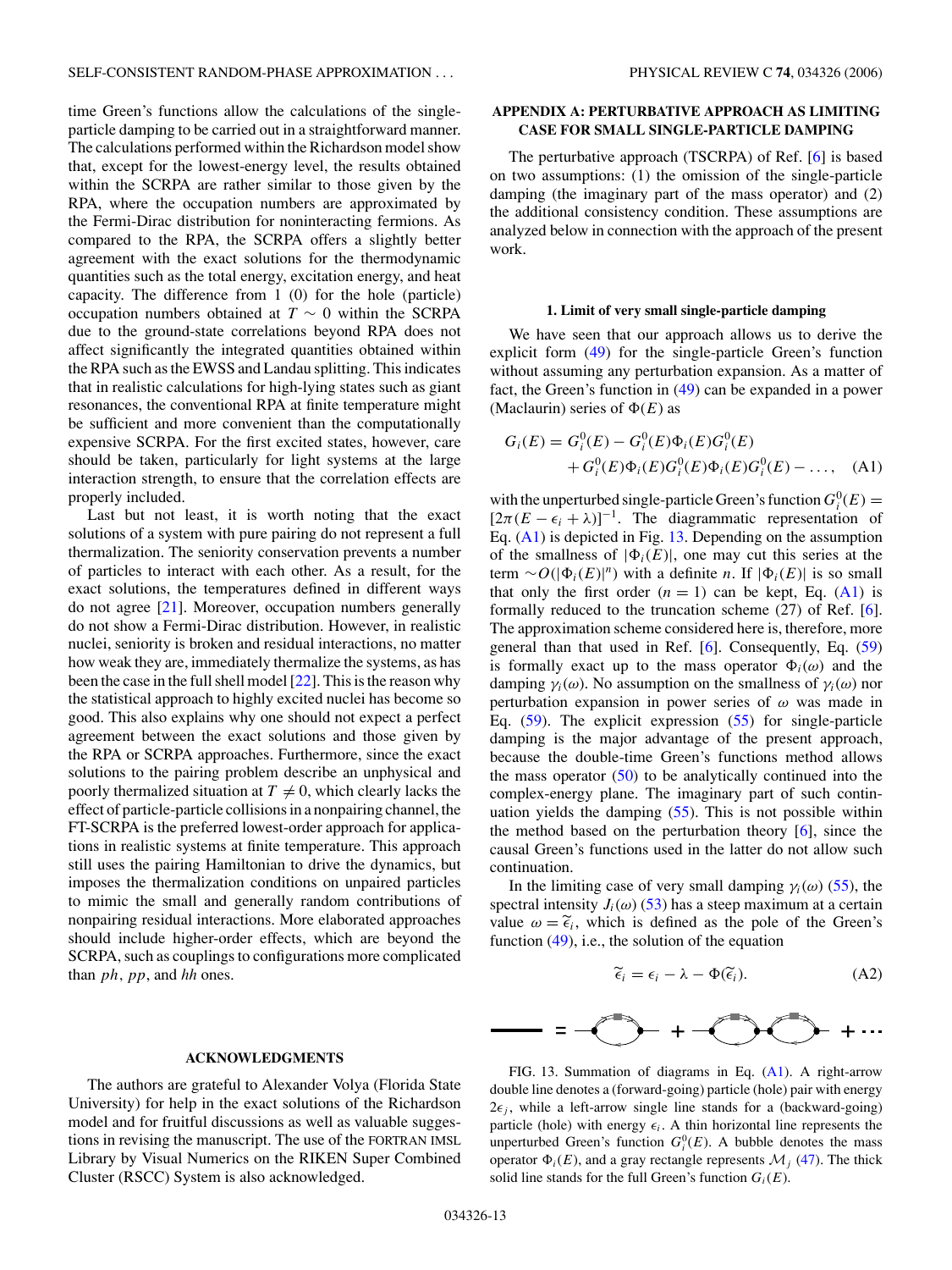<span id="page-12-0"></span>time Green's functions allow the calculations of the singleparticle damping to be carried out in a straightforward manner. The calculations performed within the Richardson model show that, except for the lowest-energy level, the results obtained within the SCRPA are rather similar to those given by the RPA, where the occupation numbers are approximated by the Fermi-Dirac distribution for noninteracting fermions. As compared to the RPA, the SCRPA offers a slightly better agreement with the exact solutions for the thermodynamic quantities such as the total energy, excitation energy, and heat capacity. The difference from 1 (0) for the hole (particle) occupation numbers obtained at *T* ∼ 0 within the SCRPA due to the ground-state correlations beyond RPA does not affect significantly the integrated quantities obtained within the RPA such as the EWSS and Landau splitting. This indicates that in realistic calculations for high-lying states such as giant resonances, the conventional RPA at finite temperature might be sufficient and more convenient than the computationally expensive SCRPA. For the first excited states, however, care should be taken, particularly for light systems at the large interaction strength, to ensure that the correlation effects are properly included.

Last but not least, it is worth noting that the exact solutions of a system with pure pairing do not represent a full thermalization. The seniority conservation prevents a number of particles to interact with each other. As a result, for the exact solutions, the temperatures defined in different ways do not agree [\[21\]](#page-14-0). Moreover, occupation numbers generally do not show a Fermi-Dirac distribution. However, in realistic nuclei, seniority is broken and residual interactions, no matter how weak they are, immediately thermalize the systems, as has been the case in the full shell model [\[22\]](#page-14-0). This is the reason why the statistical approach to highly excited nuclei has become so good. This also explains why one should not expect a perfect agreement between the exact solutions and those given by the RPA or SCRPA approaches. Furthermore, since the exact solutions to the pairing problem describe an unphysical and poorly thermalized situation at  $T \neq 0$ , which clearly lacks the effect of particle-particle collisions in a nonpairing channel, the FT-SCRPA is the preferred lowest-order approach for applications in realistic systems at finite temperature. This approach still uses the pairing Hamiltonian to drive the dynamics, but imposes the thermalization conditions on unpaired particles to mimic the small and generally random contributions of nonpairing residual interactions. More elaborated approaches should include higher-order effects, which are beyond the SCRPA, such as couplings to configurations more complicated than *ph, pp*, and *hh* ones.

# **ACKNOWLEDGMENTS**

The authors are grateful to Alexander Volya (Florida State University) for help in the exact solutions of the Richardson model and for fruitful discussions as well as valuable suggestions in revising the manuscript. The use of the FORTRAN IMSL Library by Visual Numerics on the RIKEN Super Combined Cluster (RSCC) System is also acknowledged.

### **APPENDIX A: PERTURBATIVE APPROACH AS LIMITING CASE FOR SMALL SINGLE-PARTICLE DAMPING**

The perturbative approach (TSCRPA) of Ref. [\[6\]](#page-14-0) is based on two assumptions: (1) the omission of the single-particle damping (the imaginary part of the mass operator) and (2) the additional consistency condition. These assumptions are analyzed below in connection with the approach of the present work.

# **1. Limit of very small single-particle damping**

We have seen that our approach allows us to derive the explicit form [\(49\)](#page-5-0) for the single-particle Green's function without assuming any perturbation expansion. As a matter of fact, the Green's function in [\(49\)](#page-5-0) can be expanded in a power (Maclaurin) series of  $\Phi(E)$  as

$$
G_i(E) = G_i^0(E) - G_i^0(E)\Phi_i(E)G_i^0(E)
$$
  
+  $G_i^0(E)\Phi_i(E)G_i^0(E)\Phi_i(E)G_i^0(E) - ...,$  (A1)

with the unperturbed single-particle Green's function  $G_i^0(E)$  =  $[2\pi(E - \epsilon_i + \lambda)]^{-1}$ . The diagrammatic representation of Eq. (A1) is depicted in Fig. 13. Depending on the assumption of the smallness of  $|\Phi_i(E)|$ , one may cut this series at the term  $\sim O(|\Phi_i(E)|^n)$  with a definite *n*. If  $|\Phi_i(E)|$  is so small that only the first order  $(n = 1)$  can be kept, Eq.  $(A1)$  is formally reduced to the truncation scheme (27) of Ref. [\[6\]](#page-14-0). The approximation scheme considered here is, therefore, more general than that used in Ref. [\[6\]](#page-14-0). Consequently, Eq. [\(59\)](#page-5-0) is formally exact up to the mass operator  $\Phi_i(\omega)$  and the damping  $\gamma_i(\omega)$ . No assumption on the smallness of  $\gamma_i(\omega)$  nor perturbation expansion in power series of *ω* was made in Eq. [\(59\)](#page-5-0). The explicit expression [\(55\)](#page-5-0) for single-particle damping is the major advantage of the present approach, because the double-time Green's functions method allows the mass operator  $(50)$  to be analytically continued into the complex-energy plane. The imaginary part of such continuation yields the damping [\(55\)](#page-5-0). This is not possible within the method based on the perturbation theory [\[6\]](#page-14-0), since the causal Green's functions used in the latter do not allow such continuation.

In the limiting case of very small damping  $\gamma_i(\omega)$  [\(55\)](#page-5-0), the spectral intensity  $J_i(\omega)$  [\(53\)](#page-5-0) has a steep maximum at a certain value  $\omega = \tilde{\epsilon}_i$ , which is defined as the pole of the Green's function  $(49)$ , i.e., the solution of the equation

$$
\widetilde{\epsilon}_i = \epsilon_i - \lambda - \Phi(\widetilde{\epsilon}_i). \tag{A2}
$$



FIG. 13. Summation of diagrams in Eq. (A1). A right-arrow double line denotes a (forward-going) particle (hole) pair with energy  $2\epsilon_j$ , while a left-arrow single line stands for a (backward-going) particle (hole) with energy  $\epsilon_i$ . A thin horizontal line represents the unperturbed Green's function  $G_i^0(E)$ . A bubble denotes the mass operator  $\Phi_i(E)$ , and a gray rectangle represents  $\mathcal{M}_i$  [\(47\)](#page-5-0). The thick solid line stands for the full Green's function  $G_i(E)$ .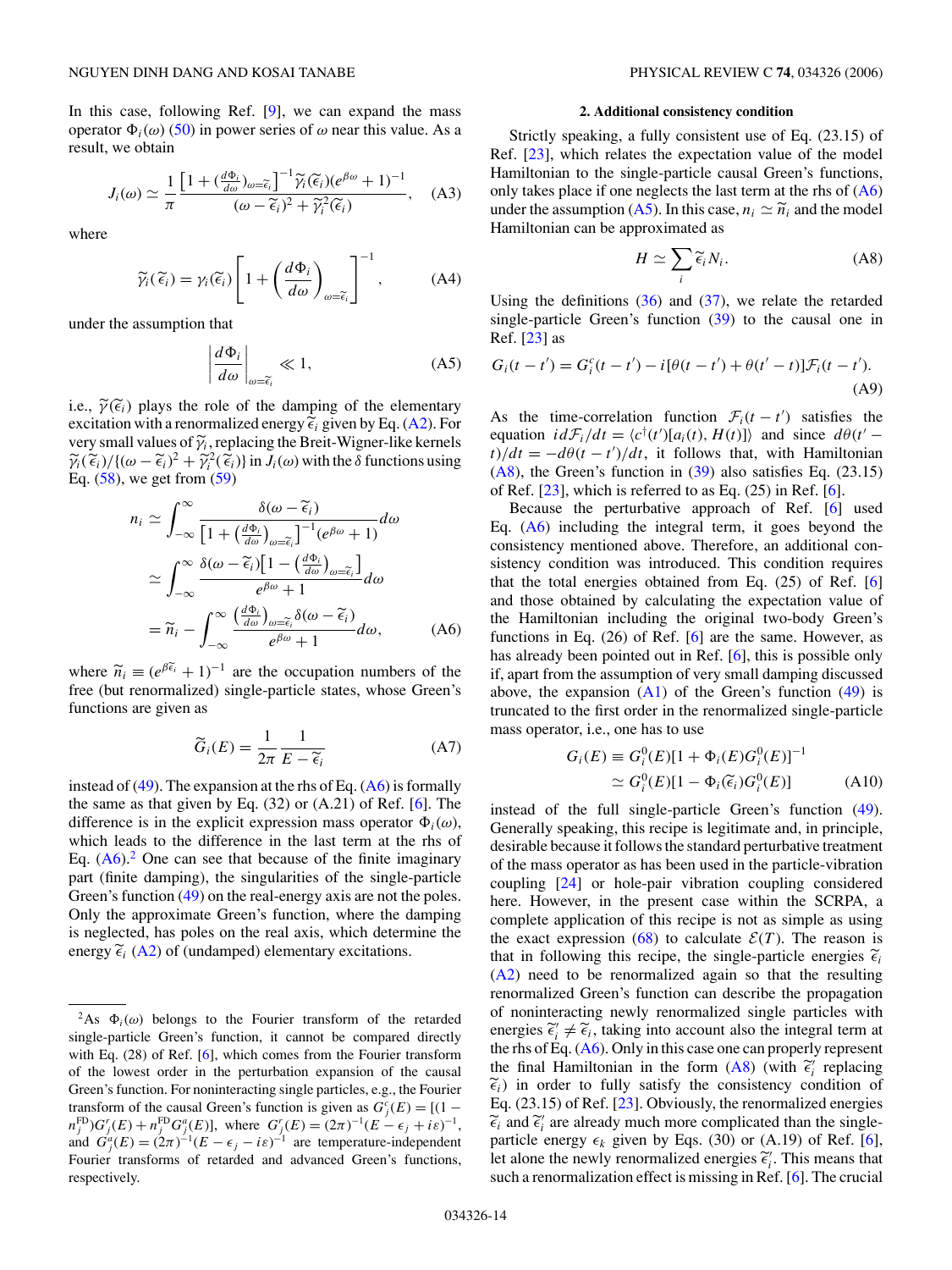In this case, following Ref.  $[9]$ , we can expand the mass operator  $\Phi_i(\omega)$  [\(50\)](#page-5-0) in power series of  $\omega$  near this value. As a result, we obtain

$$
J_i(\omega) \simeq \frac{1}{\pi} \frac{\left[1 + \left(\frac{d\Phi_i}{d\omega}\right)_{\omega = \widetilde{\epsilon}_i}\right]^{-1} \widetilde{\gamma}_i(\widetilde{\epsilon}_i) (e^{\beta \omega} + 1)^{-1}}{(\omega - \widetilde{\epsilon}_i)^2 + \widetilde{\gamma}_i^2(\widetilde{\epsilon}_i)}, \quad (A3)
$$

where

$$
\widetilde{\gamma}_i(\widetilde{\epsilon}_i) = \gamma_i(\widetilde{\epsilon}_i) \left[ 1 + \left( \frac{d\Phi_i}{d\omega} \right)_{\omega = \widetilde{\epsilon}_i} \right]^{-1}, \tag{A4}
$$

under the assumption that

$$
\left| \frac{d\Phi_i}{d\omega} \right|_{\omega = \tilde{\epsilon}_i} \ll 1,
$$
\n(A5)

i.e.,  $\widetilde{\gamma}(\widetilde{\epsilon}_i)$  plays the role of the damping of the elementary excitation with a renormalized energy  $\tilde{\epsilon}_i$  given by Eq. [\(A2\)](#page-12-0). For very small values of *γi*, replacing the Breit-Wigner-like kernels  $\widetilde{\gamma}_i(\widetilde{\epsilon}_i)/\{(\omega - \widetilde{\epsilon}_i)^2 + \widetilde{\gamma}_i^2(\widetilde{\epsilon}_i)\}\$  in  $J_i(\omega)$  with the  $\delta$  functions using <br>Eq. (58) we get from (59) Eq. [\(58\)](#page-5-0), we get from [\(59\)](#page-5-0)

$$
n_{i} \simeq \int_{-\infty}^{\infty} \frac{\delta(\omega - \tilde{\epsilon}_{i})}{\left[1 + \left(\frac{d\Phi_{i}}{d\omega}\right)_{\omega = \tilde{\epsilon}_{i}}\right]^{-1} (e^{\beta\omega} + 1)} d\omega
$$

$$
\simeq \int_{-\infty}^{\infty} \frac{\delta(\omega - \tilde{\epsilon}_{i})\left[1 - \left(\frac{d\Phi_{i}}{d\omega}\right)_{\omega = \tilde{\epsilon}_{i}}\right]}{e^{\beta\omega} + 1} d\omega
$$

$$
= \tilde{n}_{i} - \int_{-\infty}^{\infty} \frac{\left(\frac{d\Phi_{i}}{d\omega}\right)_{\omega = \tilde{\epsilon}_{i}} \delta(\omega - \tilde{\epsilon}_{i})}{e^{\beta\omega} + 1} d\omega, \qquad (A6)
$$

where  $\tilde{n}_i \equiv (e^{\beta \tilde{\epsilon}_i} + 1)^{-1}$  are the occupation numbers of the free (but renormalized) single-particle states, whose Green's functions are given as

$$
\widetilde{G}_i(E) = \frac{1}{2\pi} \frac{1}{E - \widetilde{\epsilon}_i} \tag{A7}
$$

instead of  $(49)$ . The expansion at the rhs of Eq.  $(A6)$  is formally the same as that given by Eq.  $(32)$  or  $(A.21)$  of Ref. [\[6\]](#page-14-0). The difference is in the explicit expression mass operator  $\Phi_i(\omega)$ , which leads to the difference in the last term at the rhs of Eq.  $(A6)$ .<sup>2</sup> One can see that because of the finite imaginary part (finite damping), the singularities of the single-particle Green's function [\(49\)](#page-5-0) on the real-energy axis are not the poles. Only the approximate Green's function, where the damping is neglected, has poles on the real axis, which determine the energy  $\tilde{\epsilon}_i$  [\(A2\)](#page-12-0) of (undamped) elementary excitations.

#### **2. Additional consistency condition**

Strictly speaking, a fully consistent use of Eq. (23.15) of Ref. [\[23\]](#page-14-0), which relates the expectation value of the model Hamiltonian to the single-particle causal Green's functions, only takes place if one neglects the last term at the rhs of  $(A6)$ under the assumption (A5). In this case,  $n_i \simeq \tilde{n}_i$  and the model Hamiltonian can be approximated as

$$
H \simeq \sum_{i} \widetilde{\epsilon}_{i} N_{i}.
$$
 (A8)

Using the definitions  $(36)$  and  $(37)$ , we relate the retarded single-particle Green's function [\(39\)](#page-4-0) to the causal one in Ref. [\[23\]](#page-14-0) as

$$
G_i(t - t') = G_i^c(t - t') - i[\theta(t - t') + \theta(t' - t)]\mathcal{F}_i(t - t').
$$
\n(A9)

As the time-correlation function  $\mathcal{F}_i(t - t')$  satisfies the equation  $idF_i/dt = \langle c^\dagger(t')[a_i(t), H(t)] \rangle$  and since  $d\theta(t')$  $t$ )*/dt* =  $-d\theta(t - t')/dt$ , it follows that, with Hamiltonian  $(A8)$ , the Green's function in  $(39)$  also satisfies Eq.  $(23.15)$ of Ref.  $[23]$ , which is referred to as Eq.  $(25)$  in Ref.  $[6]$ .

Because the perturbative approach of Ref. [\[6\]](#page-14-0) used Eq. (A6) including the integral term, it goes beyond the consistency mentioned above. Therefore, an additional consistency condition was introduced. This condition requires that the total energies obtained from Eq. (25) of Ref. [\[6\]](#page-14-0) and those obtained by calculating the expectation value of the Hamiltonian including the original two-body Green's functions in Eq. (26) of Ref. [\[6\]](#page-14-0) are the same. However, as has already been pointed out in Ref. [\[6\]](#page-14-0), this is possible only if, apart from the assumption of very small damping discussed above, the expansion  $(A1)$  of the Green's function  $(49)$  is truncated to the first order in the renormalized single-particle mass operator, i.e., one has to use

$$
G_i(E) \equiv G_i^0(E)[1 + \Phi_i(E)G_i^0(E)]^{-1}
$$
  
\n
$$
\simeq G_i^0(E)[1 - \Phi_i(\widetilde{\epsilon}_i)G_i^0(E)]
$$
 (A10)

instead of the full single-particle Green's function [\(49\)](#page-5-0). Generally speaking, this recipe is legitimate and, in principle, desirable because it follows the standard perturbative treatment of the mass operator as has been used in the particle-vibration coupling [\[24\]](#page-14-0) or hole-pair vibration coupling considered here. However, in the present case within the SCRPA, a complete application of this recipe is not as simple as using the exact expression [\(68\)](#page-6-0) to calculate  $\mathcal{E}(T)$ . The reason is that in following this recipe, the single-particle energies  $\tilde{\epsilon}_i$ [\(A2\)](#page-12-0) need to be renormalized again so that the resulting renormalized Green's function can describe the propagation of noninteracting newly renormalized single particles with energies  $\tilde{\epsilon}_i^{\prime} \neq \tilde{\epsilon}_i$ , taking into account also the integral term at the rhs of Eq. (A6). Only in this case one can properly represent the rhs of Eq. (A6). Only in this case one can properly represent the final Hamiltonian in the form  $(A8)$  (with  $\tilde{\epsilon}_i^j$  replacing  $\tilde{\epsilon}$ ) in order to fully satisfy the consistency condition of  $\tilde{\epsilon}_i$ ) in order to fully satisfy the consistency condition of Eq. (23.15) of Ref. [\[23\]](#page-14-0). Obviously, the renormalized energies  $\tilde{\epsilon}_i$  and  $\tilde{\epsilon}'_i$  are already much more complicated than the single-<br>particle energy  $\epsilon_i$  given by Eqs. (30) or (A 19) of Ref. [6] particle energy  $\epsilon_k$  given by Eqs. (30) or (A.19) of Ref. [\[6\]](#page-14-0), Let alone the newly renormalized energies  $\tilde{\epsilon}_i^{\prime}$ . This means that such a renormalization effect is missing in Ref. [6]. The crucial such a renormalization effect is missing in Ref. [\[6\]](#page-14-0). The crucial

<sup>&</sup>lt;sup>2</sup>As  $\Phi_i(\omega)$  belongs to the Fourier transform of the retarded single-particle Green's function, it cannot be compared directly with Eq. (28) of Ref. [\[6\]](#page-14-0), which comes from the Fourier transform of the lowest order in the perturbation expansion of the causal Green's function. For noninteracting single particles, e.g., the Fourier transform of the causal Green's function is given as  $G_j^c(E) = [(1 - \frac{1}{2} \epsilon_1)(E - E_j)]$  $n_j^{\text{FD}} G_j^r(E) + n_j^{\text{FD}} G_j^a(E)$ , where  $G_j^r(E) = (2\pi)^{-1} (E - \epsilon_j + i\varepsilon)^{-1}$ , and  $G_j^a(E) = (2\pi)^{-1}(E - \epsilon_j - i\varepsilon)^{-1}$  are temperature-independent Fourier transforms of retarded and advanced Green's functions, respectively.